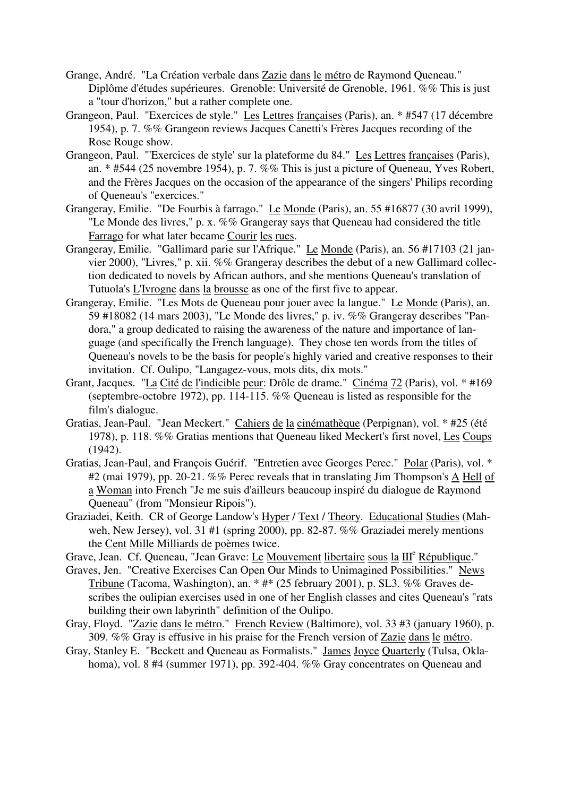- Grange, André. "La Création verbale dans Zazie dans le métro de Raymond Queneau." Diplôme d'études supérieures. Grenoble: Université de Grenoble, 1961. %% This is just a "tour d'horizon," but a rather complete one.
- Grangeon, Paul. "Exercices de style." Les Lettres françaises (Paris), an. \* #547 (17 décembre 1954), p. 7. %% Grangeon reviews Jacques Canetti's Frères Jacques recording of the Rose Rouge show.
- Grangeon, Paul. "'Exercices de style' sur la plateforme du 84." Les Lettres françaises (Paris), an. \* #544 (25 novembre 1954), p. 7. %% This is just a picture of Queneau, Yves Robert, and the Frères Jacques on the occasion of the appearance of the singers' Philips recording of Queneau's "exercices."
- Grangeray, Emilie. "De Fourbis à farrago." Le Monde (Paris), an. 55 #16877 (30 avril 1999), "Le Monde des livres," p. x. %% Grangeray says that Queneau had considered the title Farrago for what later became Courir les rues.
- Grangeray, Emilie. "Gallimard parie sur l'Afrique." Le Monde (Paris), an. 56 #17103 (21 janvier 2000), "Livres," p. xii. %% Grangeray describes the debut of a new Gallimard collection dedicated to novels by African authors, and she mentions Queneau's translation of Tutuola's L'Ivrogne dans la brousse as one of the first five to appear.
- Grangeray, Emilie. "Les Mots de Queneau pour jouer avec la langue." Le Monde (Paris), an. 59 #18082 (14 mars 2003), "Le Monde des livres," p. iv. %% Grangeray describes "Pandora," a group dedicated to raising the awareness of the nature and importance of language (and specifically the French language). They chose ten words from the titles of Queneau's novels to be the basis for people's highly varied and creative responses to their invitation. Cf. Oulipo, "Langagez-vous, mots dits, dix mots."
- Grant, Jacques. "La Cité de l'indicible peur: Drôle de drame." Cinéma 72 (Paris), vol. \* #169 (septembre-octobre 1972), pp. 114-115. %% Queneau is listed as responsible for the film's dialogue.
- Gratias, Jean-Paul. "Jean Meckert." Cahiers de la cinémathèque (Perpignan), vol. \* #25 (été 1978), p. 118. %% Gratias mentions that Queneau liked Meckert's first novel, Les Coups (1942).
- Gratias, Jean-Paul, and François Guérif. "Entretien avec Georges Perec." Polar (Paris), vol. \* #2 (mai 1979), pp. 20-21. %% Perec reveals that in translating Jim Thompson's A Hell of a Woman into French "Je me suis d'ailleurs beaucoup inspiré du dialogue de Raymond Queneau" (from "Monsieur Ripois").
- Graziadei, Keith. CR of George Landow's Hyper / Text / Theory. Educational Studies (Mahweh, New Jersey), vol. 31 #1 (spring 2000), pp. 82-87. %% Graziadei merely mentions the Cent Mille Milliards de poèmes twice.
- Grave, Jean. Cf. Queneau, "Jean Grave: Le Mouvement libertaire sous la III<sup>e</sup> République."
- Graves, Jen. "Creative Exercises Can Open Our Minds to Unimagined Possibilities." News Tribune (Tacoma, Washington), an. \* #\* (25 february 2001), p. SL3. %% Graves describes the oulipian exercises used in one of her English classes and cites Queneau's "rats building their own labyrinth" definition of the Oulipo.
- Gray, Floyd. "Zazie dans le métro." French Review (Baltimore), vol. 33 #3 (january 1960), p. 309. %% Gray is effusive in his praise for the French version of Zazie dans le métro.
- Gray, Stanley E. "Beckett and Queneau as Formalists." James Joyce Quarterly (Tulsa, Oklahoma), vol. 8 #4 (summer 1971), pp. 392-404. %% Gray concentrates on Queneau and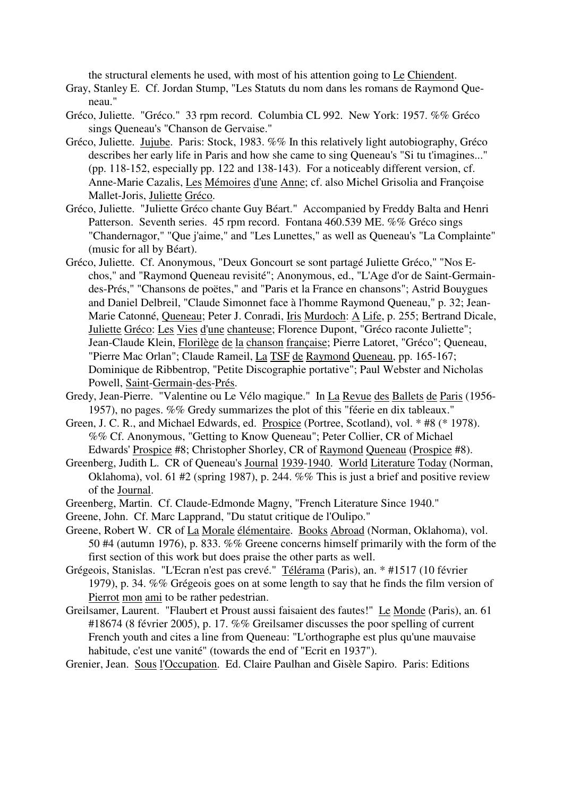the structural elements he used, with most of his attention going to Le Chiendent.

Gray, Stanley E. Cf. Jordan Stump, "Les Statuts du nom dans les romans de Raymond Queneau."

- Gréco, Juliette. "Gréco." 33 rpm record. Columbia CL 992. New York: 1957. %% Gréco sings Queneau's "Chanson de Gervaise."
- Gréco, Juliette. Jujube. Paris: Stock, 1983. %% In this relatively light autobiography, Gréco describes her early life in Paris and how she came to sing Queneau's "Si tu t'imagines..." (pp. 118-152, especially pp. 122 and 138-143). For a noticeably different version, cf. Anne-Marie Cazalis, Les Mémoires d'une Anne; cf. also Michel Grisolia and Françoise Mallet-Joris, Juliette Gréco.
- Gréco, Juliette. "Juliette Gréco chante Guy Béart." Accompanied by Freddy Balta and Henri Patterson. Seventh series. 45 rpm record. Fontana 460.539 ME. %% Gréco sings "Chandernagor," "Que j'aime," and "Les Lunettes," as well as Queneau's "La Complainte" (music for all by Béart).
- Gréco, Juliette. Cf. Anonymous, "Deux Goncourt se sont partagé Juliette Gréco," "Nos Echos," and "Raymond Queneau revisité"; Anonymous, ed., "L'Age d'or de Saint-Germaindes-Prés," "Chansons de poëtes," and "Paris et la France en chansons"; Astrid Bouygues and Daniel Delbreil, "Claude Simonnet face à l'homme Raymond Queneau," p. 32; Jean-Marie Catonné, Queneau; Peter J. Conradi, Iris Murdoch: A Life, p. 255; Bertrand Dicale, Juliette Gréco: Les Vies d'une chanteuse; Florence Dupont, "Gréco raconte Juliette"; Jean-Claude Klein, Florilège de la chanson française; Pierre Latoret, "Gréco"; Queneau, "Pierre Mac Orlan"; Claude Rameil, La TSF de Raymond Queneau, pp. 165-167; Dominique de Ribbentrop, "Petite Discographie portative"; Paul Webster and Nicholas Powell, Saint-Germain-des-Prés.
- Gredy, Jean-Pierre. "Valentine ou Le Vélo magique." In La Revue des Ballets de Paris (1956-1957), no pages. %% Gredy summarizes the plot of this "féerie en dix tableaux."
- Green, J. C. R., and Michael Edwards, ed. Prospice (Portree, Scotland), vol. \* #8 (\* 1978). %% Cf. Anonymous, "Getting to Know Queneau"; Peter Collier, CR of Michael Edwards' Prospice #8; Christopher Shorley, CR of Raymond Queneau (Prospice #8).
- Greenberg, Judith L. CR of Queneau's Journal 1939-1940. World Literature Today (Norman, Oklahoma), vol. 61 #2 (spring 1987), p. 244. %% This is just a brief and positive review of the Journal.
- Greenberg, Martin. Cf. Claude-Edmonde Magny, "French Literature Since 1940."
- Greene, John. Cf. Marc Lapprand, "Du statut critique de l'Oulipo."
- Greene, Robert W. CR of La Morale élémentaire. Books Abroad (Norman, Oklahoma), vol. 50 #4 (autumn 1976), p. 833. %% Greene concerns himself primarily with the form of the first section of this work but does praise the other parts as well.
- Grégeois, Stanislas. "L'Ecran n'est pas crevé." Télérama (Paris), an. \* #1517 (10 février 1979), p. 34. %% Grégeois goes on at some length to say that he finds the film version of Pierrot mon ami to be rather pedestrian.
- Greilsamer, Laurent. "Flaubert et Proust aussi faisaient des fautes!" Le Monde (Paris), an. 61 #18674 (8 février 2005), p. 17. %% Greilsamer discusses the poor spelling of current French youth and cites a line from Queneau: "L'orthographe est plus qu'une mauvaise habitude, c'est une vanité" (towards the end of "Ecrit en 1937").
- Grenier, Jean. Sous l'Occupation. Ed. Claire Paulhan and Gisèle Sapiro. Paris: Editions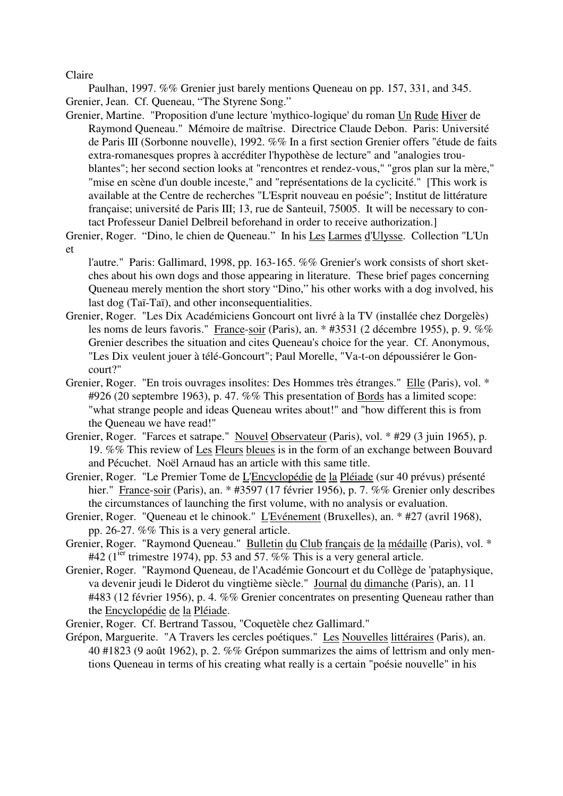Claire

Paulhan, 1997. %% Grenier just barely mentions Queneau on pp. 157, 331, and 345. Grenier, Jean. Cf. Queneau, "The Styrene Song."

Grenier, Martine. "Proposition d'une lecture 'mythico-logique' du roman Un Rude Hiver de Raymond Queneau." Mémoire de maîtrise. Directrice Claude Debon. Paris: Université de Paris III (Sorbonne nouvelle), 1992. %% In a first section Grenier offers "étude de faits extra-romanesques propres à accréditer l'hypothèse de lecture" and "analogies troublantes"; her second section looks at "rencontres et rendez-vous," "gros plan sur la mère," "mise en scène d'un double inceste," and "représentations de la cyclicité." [This work is available at the Centre de recherches "L'Esprit nouveau en poésie"; Institut de littérature française; université de Paris III; 13, rue de Santeuil, 75005. It will be necessary to contact Professeur Daniel Delbreil beforehand in order to receive authorization.]

Grenier, Roger. "Dino, le chien de Queneau." In his Les Larmes d'Ulysse. Collection "L'Un et

l'autre." Paris: Gallimard, 1998, pp. 163-165. %% Grenier's work consists of short sketches about his own dogs and those appearing in literature. These brief pages concerning Queneau merely mention the short story "Dino," his other works with a dog involved, his last dog (Taï-Taï), and other inconsequentialities.

- Grenier, Roger. "Les Dix Académiciens Goncourt ont livré à la TV (installée chez Dorgelès) les noms de leurs favoris." France-soir (Paris), an. \* #3531 (2 décembre 1955), p. 9. %% Grenier describes the situation and cites Queneau's choice for the year. Cf. Anonymous, "Les Dix veulent jouer à télé-Goncourt"; Paul Morelle, "Va-t-on dépoussiérer le Goncourt?"
- Grenier, Roger. "En trois ouvrages insolites: Des Hommes très étranges." Elle (Paris), vol. \* #926 (20 septembre 1963), p. 47. %% This presentation of Bords has a limited scope: "what strange people and ideas Queneau writes about!" and "how different this is from the Queneau we have read!"
- Grenier, Roger. "Farces et satrape." Nouvel Observateur (Paris), vol. \* #29 (3 juin 1965), p. 19. %% This review of Les Fleurs bleues is in the form of an exchange between Bouvard and Pécuchet. Noël Arnaud has an article with this same title.
- Grenier, Roger. "Le Premier Tome de L'Encyclopédie de la Pléiade (sur 40 prévus) présenté hier." France-soir (Paris), an. \* #3597 (17 février 1956), p. 7. %% Grenier only describes the circumstances of launching the first volume, with no analysis or evaluation.
- Grenier, Roger. "Queneau et le chinook." L'Evénement (Bruxelles), an. \* #27 (avril 1968), pp. 26-27. %% This is a very general article.
- Grenier, Roger. "Raymond Queneau." Bulletin du Club français de la médaille (Paris), vol. \* #42 ( $1^{ier}$  trimestre 1974), pp. 53 and 57. %% This is a very general article.
- Grenier, Roger. "Raymond Queneau, de l'Académie Goncourt et du Collège de 'pataphysique, va devenir jeudi le Diderot du vingtième siècle." Journal du dimanche (Paris), an. 11 #483 (12 février 1956), p. 4. %% Grenier concentrates on presenting Queneau rather than the Encyclopédie de la Pléiade.
- Grenier, Roger. Cf. Bertrand Tassou, "Coquetèle chez Gallimard."
- Grépon, Marguerite. "A Travers les cercles poétiques." Les Nouvelles littéraires (Paris), an. 40 #1823 (9 août 1962), p. 2. %% Grépon summarizes the aims of lettrism and only mentions Queneau in terms of his creating what really is a certain "poésie nouvelle" in his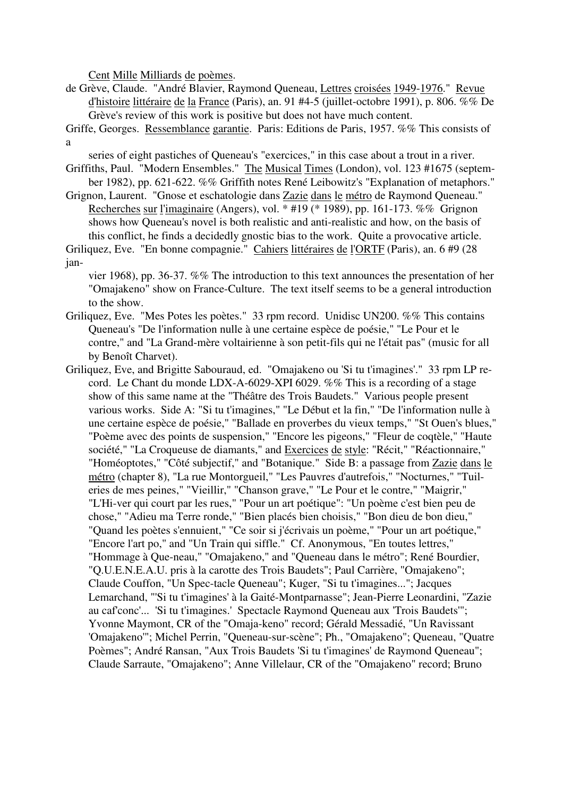Cent Mille Milliards de poèmes.

- de Grève, Claude. "André Blavier, Raymond Queneau, Lettres croisées 1949-1976." Revue d'histoire littéraire de la France (Paris), an. 91 #4-5 (juillet-octobre 1991), p. 806. %% De Grève's review of this work is positive but does not have much content.
- Griffe, Georges. Ressemblance garantie. Paris: Editions de Paris, 1957. %% This consists of a

series of eight pastiches of Queneau's "exercices," in this case about a trout in a river.

- Griffiths, Paul. "Modern Ensembles." The Musical Times (London), vol. 123 #1675 (september 1982), pp. 621-622. %% Griffith notes René Leibowitz's "Explanation of metaphors."
- Grignon, Laurent. "Gnose et eschatologie dans Zazie dans le métro de Raymond Queneau." Recherches sur l'imaginaire (Angers), vol. \* #19 (\* 1989), pp. 161-173. %% Grignon shows how Queneau's novel is both realistic and anti-realistic and how, on the basis of this conflict, he finds a decidedly gnostic bias to the work. Quite a provocative article.

Griliquez, Eve. "En bonne compagnie." Cahiers littéraires de l'ORTF (Paris), an. 6 #9 (28 jan-

vier 1968), pp. 36-37. %% The introduction to this text announces the presentation of her "Omajakeno" show on France-Culture. The text itself seems to be a general introduction to the show.

- Griliquez, Eve. "Mes Potes les poètes." 33 rpm record. Unidisc UN200. %% This contains Queneau's "De l'information nulle à une certaine espèce de poésie," "Le Pour et le contre," and "La Grand-mère voltairienne à son petit-fils qui ne l'était pas" (music for all by Benoît Charvet).
- Griliquez, Eve, and Brigitte Sabouraud, ed. "Omajakeno ou 'Si tu t'imagines'." 33 rpm LP record. Le Chant du monde LDX-A-6029-XPI 6029. %% This is a recording of a stage show of this same name at the "Théâtre des Trois Baudets." Various people present various works. Side A: "Si tu t'imagines," "Le Début et la fin," "De l'information nulle à une certaine espèce de poésie," "Ballade en proverbes du vieux temps," "St Ouen's blues," "Poème avec des points de suspension," "Encore les pigeons," "Fleur de coqtèle," "Haute société," "La Croqueuse de diamants," and Exercices de style: "Récit," "Réactionnaire," "Homéoptotes," "Côté subjectif," and "Botanique." Side B: a passage from Zazie dans le métro (chapter 8), "La rue Montorgueil," "Les Pauvres d'autrefois," "Nocturnes," "Tuileries de mes peines," "Vieillir," "Chanson grave," "Le Pour et le contre," "Maigrir," "L'Hi-ver qui court par les rues," "Pour un art poétique": "Un poème c'est bien peu de chose," "Adieu ma Terre ronde," "Bien placés bien choisis," "Bon dieu de bon dieu," "Quand les poètes s'ennuient," "Ce soir si j'écrivais un poème," "Pour un art poétique," "Encore l'art po," and "Un Train qui siffle." Cf. Anonymous, "En toutes lettres," "Hommage à Que-neau," "Omajakeno," and "Queneau dans le métro"; René Bourdier, "Q.U.E.N.E.A.U. pris à la carotte des Trois Baudets"; Paul Carrière, "Omajakeno"; Claude Couffon, "Un Spec-tacle Queneau"; Kuger, "Si tu t'imagines..."; Jacques Lemarchand, "'Si tu t'imagines' à la Gaité-Montparnasse"; Jean-Pierre Leonardini, "Zazie au caf'conc'... 'Si tu t'imagines.' Spectacle Raymond Queneau aux 'Trois Baudets'"; Yvonne Maymont, CR of the "Omaja-keno" record; Gérald Messadié, "Un Ravissant 'Omajakeno'"; Michel Perrin, "Queneau-sur-scène"; Ph., "Omajakeno"; Queneau, "Quatre Poèmes"; André Ransan, "Aux Trois Baudets 'Si tu t'imagines' de Raymond Queneau"; Claude Sarraute, "Omajakeno"; Anne Villelaur, CR of the "Omajakeno" record; Bruno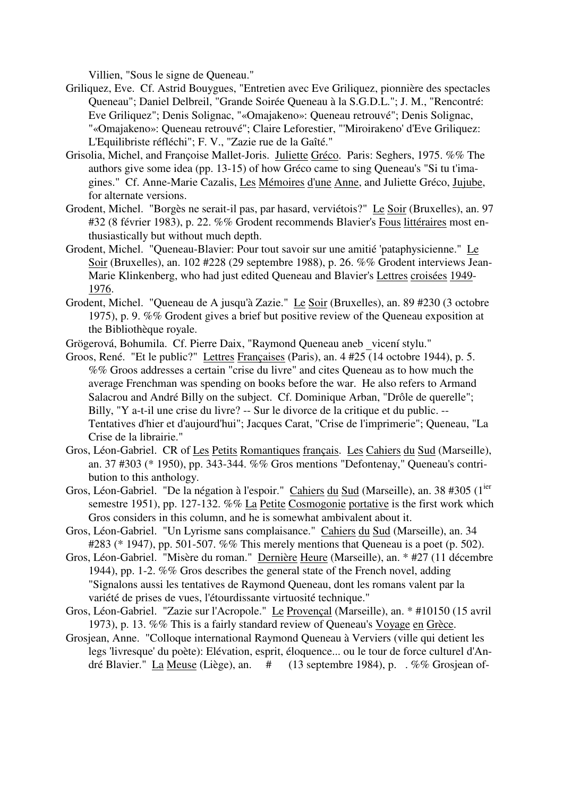Villien, "Sous le signe de Queneau."

- Griliquez, Eve. Cf. Astrid Bouygues, "Entretien avec Eve Griliquez, pionnière des spectacles Queneau"; Daniel Delbreil, "Grande Soirée Queneau à la S.G.D.L."; J. M., "Rencontré: Eve Griliquez"; Denis Solignac, "«Omajakeno»: Queneau retrouvé"; Denis Solignac, "«Omajakeno»: Queneau retrouvé"; Claire Leforestier, "'Miroirakeno' d'Eve Griliquez: L'Equilibriste réfléchi"; F. V., "Zazie rue de la Gaîté."
- Grisolia, Michel, and Françoise Mallet-Joris. Juliette Gréco. Paris: Seghers, 1975. %% The authors give some idea (pp. 13-15) of how Gréco came to sing Queneau's "Si tu t'imagines." Cf. Anne-Marie Cazalis, Les Mémoires d'une Anne, and Juliette Gréco, Jujube, for alternate versions.
- Grodent, Michel. "Borgès ne serait-il pas, par hasard, verviétois?" Le Soir (Bruxelles), an. 97 #32 (8 février 1983), p. 22. %% Grodent recommends Blavier's Fous littéraires most enthusiastically but without much depth.
- Grodent, Michel. "Queneau-Blavier: Pour tout savoir sur une amitié 'pataphysicienne." Le Soir (Bruxelles), an. 102 #228 (29 septembre 1988), p. 26. %% Grodent interviews Jean-Marie Klinkenberg, who had just edited Queneau and Blavier's Lettres croisées 1949- 1976.
- Grodent, Michel. "Queneau de A jusqu'à Zazie." Le Soir (Bruxelles), an. 89 #230 (3 octobre 1975), p. 9. %% Grodent gives a brief but positive review of the Queneau exposition at the Bibliothèque royale.
- Grögerová, Bohumila. Cf. Pierre Daix, "Raymond Queneau aneb \_vicení stylu."
- Groos, René. "Et le public?" Lettres Françaises (Paris), an. 4 #25 (14 octobre 1944), p. 5. %% Groos addresses a certain "crise du livre" and cites Queneau as to how much the average Frenchman was spending on books before the war. He also refers to Armand Salacrou and André Billy on the subject. Cf. Dominique Arban, "Drôle de querelle"; Billy, "Y a-t-il une crise du livre? -- Sur le divorce de la critique et du public. -- Tentatives d'hier et d'aujourd'hui"; Jacques Carat, "Crise de l'imprimerie"; Queneau, "La Crise de la librairie."
- Gros, Léon-Gabriel. CR of Les Petits Romantiques français. Les Cahiers du Sud (Marseille), an. 37 #303 (\* 1950), pp. 343-344. %% Gros mentions "Defontenay," Queneau's contribution to this anthology.
- Gros, Léon-Gabriel. "De la négation à l'espoir." Cahiers du Sud (Marseille), an. 38 #305 (1<sup>ier</sup> semestre 1951), pp. 127-132. %% La Petite Cosmogonie portative is the first work which Gros considers in this column, and he is somewhat ambivalent about it.
- Gros, Léon-Gabriel. "Un Lyrisme sans complaisance." Cahiers du Sud (Marseille), an. 34 #283 (\* 1947), pp. 501-507. %% This merely mentions that Queneau is a poet (p. 502).
- Gros, Léon-Gabriel. "Misère du roman." Dernière Heure (Marseille), an. \* #27 (11 décembre 1944), pp. 1-2. %% Gros describes the general state of the French novel, adding "Signalons aussi les tentatives de Raymond Queneau, dont les romans valent par la variété de prises de vues, l'étourdissante virtuosité technique."
- Gros, Léon-Gabriel. "Zazie sur l'Acropole." Le Provençal (Marseille), an. \* #10150 (15 avril 1973), p. 13. %% This is a fairly standard review of Queneau's Voyage en Grèce.
- Grosjean, Anne. "Colloque international Raymond Queneau à Verviers (ville qui detient les legs 'livresque' du poète): Elévation, esprit, éloquence... ou le tour de force culturel d'André Blavier." La Meuse (Liège), an. # (13 septembre 1984), p. . %% Grosjean of-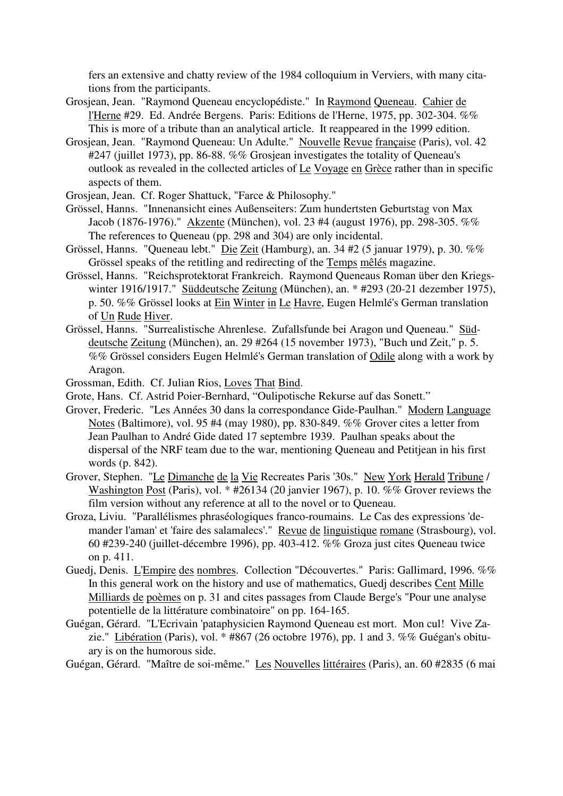fers an extensive and chatty review of the 1984 colloquium in Verviers, with many citations from the participants.

- Grosjean, Jean. "Raymond Queneau encyclopédiste." In Raymond Queneau. Cahier de l'Herne #29. Ed. Andrée Bergens. Paris: Editions de l'Herne, 1975, pp. 302-304. %% This is more of a tribute than an analytical article. It reappeared in the 1999 edition.
- Grosjean, Jean. "Raymond Queneau: Un Adulte." Nouvelle Revue française (Paris), vol. 42 #247 (juillet 1973), pp. 86-88. %% Grosjean investigates the totality of Queneau's outlook as revealed in the collected articles of Le Voyage en Grèce rather than in specific aspects of them.
- Grosjean, Jean. Cf. Roger Shattuck, "Farce & Philosophy."
- Grössel, Hanns. "Innenansicht eines Außenseiters: Zum hundertsten Geburtstag von Max Jacob (1876-1976)." Akzente (München), vol. 23 #4 (august 1976), pp. 298-305. %% The references to Queneau (pp. 298 and 304) are only incidental.
- Grössel, Hanns. "Queneau lebt." Die Zeit (Hamburg), an. 34 #2 (5 januar 1979), p. 30. %% Grössel speaks of the retitling and redirecting of the Temps mêlés magazine.
- Grössel, Hanns. "Reichsprotektorat Frankreich. Raymond Queneaus Roman über den Kriegswinter 1916/1917." Süddeutsche Zeitung (München), an. \* #293 (20-21 dezember 1975), p. 50. %% Grössel looks at Ein Winter in Le Havre, Eugen Helmlé's German translation of Un Rude Hiver.
- Grössel, Hanns. "Surrealistische Ahrenlese. Zufallsfunde bei Aragon und Queneau." Süddeutsche Zeitung (München), an. 29 #264 (15 november 1973), "Buch und Zeit," p. 5. %% Grössel considers Eugen Helmlé's German translation of Odile along with a work by Aragon.
- Grossman, Edith. Cf. Julian Rios, Loves That Bind.
- Grote, Hans. Cf. Astrid Poier-Bernhard, "Oulipotische Rekurse auf das Sonett."
- Grover, Frederic. "Les Années 30 dans la correspondance Gide-Paulhan." Modern Language Notes (Baltimore), vol. 95 #4 (may 1980), pp. 830-849. %% Grover cites a letter from Jean Paulhan to André Gide dated 17 septembre 1939. Paulhan speaks about the dispersal of the NRF team due to the war, mentioning Queneau and Petitjean in his first words (p. 842).
- Grover, Stephen. "Le Dimanche de la Vie Recreates Paris '30s." New York Herald Tribune / Washington Post (Paris), vol. \* #26134 (20 janvier 1967), p. 10. %% Grover reviews the film version without any reference at all to the novel or to Queneau.
- Groza, Liviu. "Parallélismes phraséologiques franco-roumains. Le Cas des expressions 'demander l'aman' et 'faire des salamalecs'." Revue de linguistique romane (Strasbourg), vol. 60 #239-240 (juillet-décembre 1996), pp. 403-412. %% Groza just cites Queneau twice on p. 411.
- Guedj, Denis. L'Empire des nombres. Collection "Découvertes." Paris: Gallimard, 1996. %% In this general work on the history and use of mathematics, Guedj describes Cent Mille Milliards de poèmes on p. 31 and cites passages from Claude Berge's "Pour une analyse potentielle de la littérature combinatoire" on pp. 164-165.
- Guégan, Gérard. "L'Ecrivain 'pataphysicien Raymond Queneau est mort. Mon cul! Vive Zazie." Libération (Paris), vol. \* #867 (26 octobre 1976), pp. 1 and 3. %% Guégan's obituary is on the humorous side.

Guégan, Gérard. "Maître de soi-même." Les Nouvelles littéraires (Paris), an. 60 #2835 (6 mai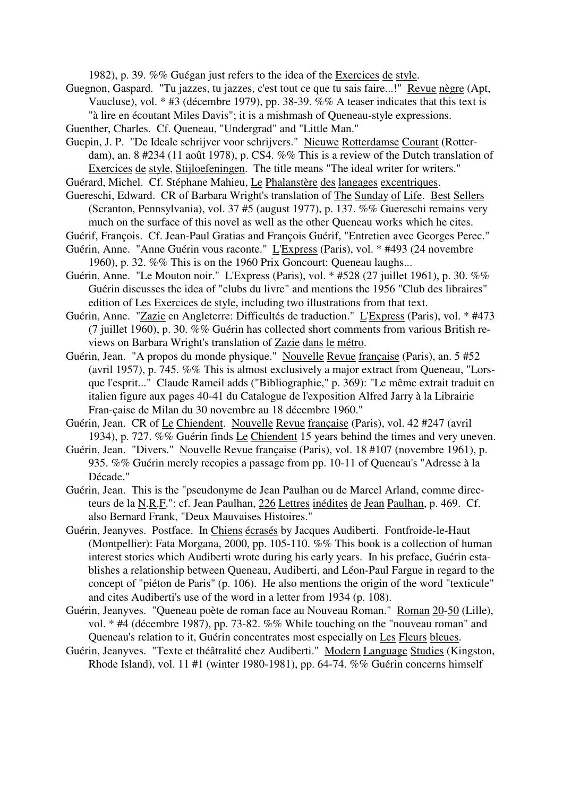1982), p. 39. %% Guégan just refers to the idea of the Exercices de style.

- Guegnon, Gaspard. "Tu jazzes, tu jazzes, c'est tout ce que tu sais faire...!" Revue nègre (Apt, Vaucluse), vol. \* #3 (décembre 1979), pp. 38-39. %% A teaser indicates that this text is "à lire en écoutant Miles Davis"; it is a mishmash of Queneau-style expressions.
- Guenther, Charles. Cf. Queneau, "Undergrad" and "Little Man."

Guepin, J. P. "De Ideale schrijver voor schrijvers." Nieuwe Rotterdamse Courant (Rotterdam), an. 8 #234 (11 août 1978), p. CS4. %% This is a review of the Dutch translation of Exercices de style, Stijloefeningen. The title means "The ideal writer for writers."

Guérard, Michel. Cf. Stéphane Mahieu, Le Phalanstère des langages excentriques.

Guereschi, Edward. CR of Barbara Wright's translation of The Sunday of Life. Best Sellers (Scranton, Pennsylvania), vol. 37 #5 (august 1977), p. 137. %% Guereschi remains very much on the surface of this novel as well as the other Queneau works which he cites.

- Guérif, François. Cf. Jean-Paul Gratias and François Guérif, "Entretien avec Georges Perec."
- Guérin, Anne. "Anne Guérin vous raconte." L'Express (Paris), vol. \* #493 (24 novembre 1960), p. 32. %% This is on the 1960 Prix Goncourt: Queneau laughs...
- Guérin, Anne. "Le Mouton noir." L'Express (Paris), vol. \* #528 (27 juillet 1961), p. 30. %% Guérin discusses the idea of "clubs du livre" and mentions the 1956 "Club des libraires" edition of Les Exercices de style, including two illustrations from that text.
- Guérin, Anne. "Zazie en Angleterre: Difficultés de traduction." L'Express (Paris), vol. \* #473 (7 juillet 1960), p. 30. %% Guérin has collected short comments from various British reviews on Barbara Wright's translation of Zazie dans le métro.
- Guérin, Jean. "A propos du monde physique." Nouvelle Revue française (Paris), an. 5 #52 (avril 1957), p. 745. %% This is almost exclusively a major extract from Queneau, "Lorsque l'esprit..." Claude Rameil adds ("Bibliographie," p. 369): "Le même extrait traduit en italien figure aux pages 40-41 du Catalogue de l'exposition Alfred Jarry à la Librairie Fran-çaise de Milan du 30 novembre au 18 décembre 1960."
- Guérin, Jean. CR of Le Chiendent. Nouvelle Revue française (Paris), vol. 42 #247 (avril 1934), p. 727. %% Guérin finds Le Chiendent 15 years behind the times and very uneven.
- Guérin, Jean. "Divers." Nouvelle Revue française (Paris), vol. 18 #107 (novembre 1961), p. 935. %% Guérin merely recopies a passage from pp. 10-11 of Queneau's "Adresse à la Décade."
- Guérin, Jean. This is the "pseudonyme de Jean Paulhan ou de Marcel Arland, comme directeurs de la N.R.F.": cf. Jean Paulhan, 226 Lettres inédites de Jean Paulhan, p. 469. Cf. also Bernard Frank, "Deux Mauvaises Histoires."
- Guérin, Jeanyves. Postface. In Chiens écrasés by Jacques Audiberti. Fontfroide-le-Haut (Montpellier): Fata Morgana, 2000, pp. 105-110. %% This book is a collection of human interest stories which Audiberti wrote during his early years. In his preface, Guérin establishes a relationship between Queneau, Audiberti, and Léon-Paul Fargue in regard to the concept of "piéton de Paris" (p. 106). He also mentions the origin of the word "texticule" and cites Audiberti's use of the word in a letter from 1934 (p. 108).
- Guérin, Jeanyves. "Queneau poète de roman face au Nouveau Roman." Roman 20-50 (Lille), vol. \* #4 (décembre 1987), pp. 73-82. %% While touching on the "nouveau roman" and Queneau's relation to it, Guérin concentrates most especially on Les Fleurs bleues.
- Guérin, Jeanyves. "Texte et théâtralité chez Audiberti." Modern Language Studies (Kingston, Rhode Island), vol. 11 #1 (winter 1980-1981), pp. 64-74. %% Guérin concerns himself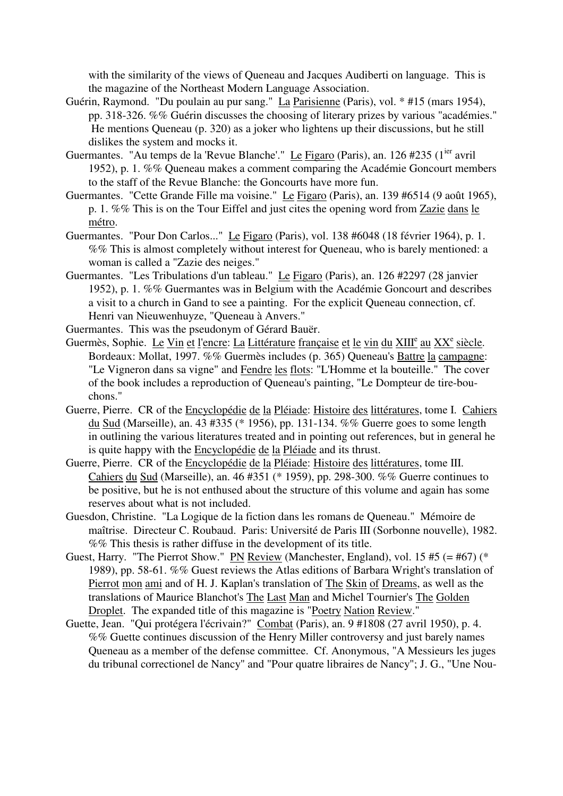with the similarity of the views of Queneau and Jacques Audiberti on language. This is the magazine of the Northeast Modern Language Association.

- Guérin, Raymond. "Du poulain au pur sang." La Parisienne (Paris), vol. \* #15 (mars 1954), pp. 318-326. %% Guérin discusses the choosing of literary prizes by various "académies." He mentions Queneau (p. 320) as a joker who lightens up their discussions, but he still dislikes the system and mocks it.
- Guermantes. "Au temps de la 'Revue Blanche'." Le Figaro (Paris), an. 126 #235 (1<sup>ier</sup> avril 1952), p. 1. %% Queneau makes a comment comparing the Académie Goncourt members to the staff of the Revue Blanche: the Goncourts have more fun.
- Guermantes. "Cette Grande Fille ma voisine." Le Figaro (Paris), an. 139 #6514 (9 août 1965), p. 1. %% This is on the Tour Eiffel and just cites the opening word from Zazie dans le métro.
- Guermantes. "Pour Don Carlos..." Le Figaro (Paris), vol. 138 #6048 (18 février 1964), p. 1. %% This is almost completely without interest for Queneau, who is barely mentioned: a woman is called a "Zazie des neiges."
- Guermantes. "Les Tribulations d'un tableau." Le Figaro (Paris), an. 126 #2297 (28 janvier 1952), p. 1. %% Guermantes was in Belgium with the Académie Goncourt and describes a visit to a church in Gand to see a painting. For the explicit Queneau connection, cf. Henri van Nieuwenhuyze, "Queneau à Anvers."
- Guermantes. This was the pseudonym of Gérard Bauër.
- Guermès, Sophie. Le Vin et l'encre: La Littérature française et le vin du XIII<sup>e</sup> au XX<sup>e</sup> siècle. Bordeaux: Mollat, 1997. %% Guermès includes (p. 365) Queneau's Battre la campagne: "Le Vigneron dans sa vigne" and Fendre les flots: "L'Homme et la bouteille." The cover of the book includes a reproduction of Queneau's painting, "Le Dompteur de tire-bouchons."
- Guerre, Pierre. CR of the Encyclopédie de la Pléiade: Histoire des littératures, tome I. Cahiers du Sud (Marseille), an. 43 #335 (\* 1956), pp. 131-134. %% Guerre goes to some length in outlining the various literatures treated and in pointing out references, but in general he is quite happy with the Encyclopédie de la Pléiade and its thrust.
- Guerre, Pierre. CR of the Encyclopédie de la Pléiade: Histoire des littératures, tome III. Cahiers du Sud (Marseille), an. 46 #351 (\* 1959), pp. 298-300. %% Guerre continues to be positive, but he is not enthused about the structure of this volume and again has some reserves about what is not included.
- Guesdon, Christine. "La Logique de la fiction dans les romans de Queneau." Mémoire de maîtrise. Directeur C. Roubaud. Paris: Université de Paris III (Sorbonne nouvelle), 1982. %% This thesis is rather diffuse in the development of its title.
- Guest, Harry. "The Pierrot Show." PN Review (Manchester, England), vol. 15 #5 (= #67) (\* 1989), pp. 58-61. %% Guest reviews the Atlas editions of Barbara Wright's translation of Pierrot mon ami and of H. J. Kaplan's translation of The Skin of Dreams, as well as the translations of Maurice Blanchot's The Last Man and Michel Tournier's The Golden Droplet. The expanded title of this magazine is "Poetry Nation Review."
- Guette, Jean. "Qui protégera l'écrivain?" Combat (Paris), an. 9 #1808 (27 avril 1950), p. 4. %% Guette continues discussion of the Henry Miller controversy and just barely names Queneau as a member of the defense committee. Cf. Anonymous, "A Messieurs les juges du tribunal correctionel de Nancy" and "Pour quatre libraires de Nancy"; J. G., "Une Nou-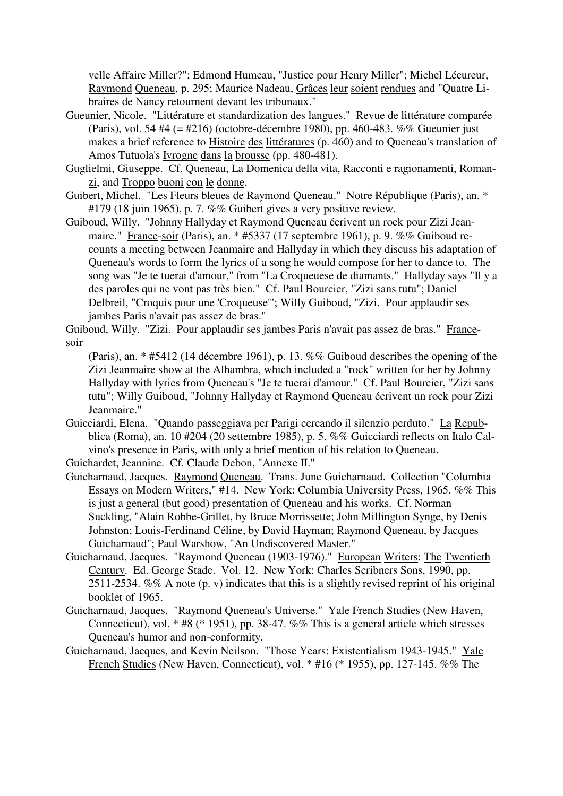velle Affaire Miller?"; Edmond Humeau, "Justice pour Henry Miller"; Michel Lécureur, Raymond Queneau, p. 295; Maurice Nadeau, Grâces leur soient rendues and "Quatre Libraires de Nancy retournent devant les tribunaux."

- Gueunier, Nicole. "Littérature et standardization des langues." Revue de littérature comparée (Paris), vol. 54 #4 (= #216) (octobre-décembre 1980), pp. 460-483. %% Gueunier just makes a brief reference to Histoire des littératures (p. 460) and to Queneau's translation of Amos Tutuola's Ivrogne dans la brousse (pp. 480-481).
- Guglielmi, Giuseppe. Cf. Queneau, La Domenica della vita, Racconti e ragionamenti, Romanzi, and Troppo buoni con le donne.
- Guibert, Michel. "Les Fleurs bleues de Raymond Queneau." Notre République (Paris), an. \* #179 (18 juin 1965), p. 7. %% Guibert gives a very positive review.
- Guiboud, Willy. "Johnny Hallyday et Raymond Queneau écrivent un rock pour Zizi Jeanmaire." France-soir (Paris), an. \* #5337 (17 septembre 1961), p. 9. %% Guiboud recounts a meeting between Jeanmaire and Hallyday in which they discuss his adaptation of Queneau's words to form the lyrics of a song he would compose for her to dance to. The song was "Je te tuerai d'amour," from "La Croqueuese de diamants." Hallyday says "Il y a des paroles qui ne vont pas très bien." Cf. Paul Bourcier, "Zizi sans tutu"; Daniel Delbreil, "Croquis pour une 'Croqueuse'"; Willy Guiboud, "Zizi. Pour applaudir ses jambes Paris n'avait pas assez de bras."

Guiboud, Willy. "Zizi. Pour applaudir ses jambes Paris n'avait pas assez de bras." Francesoir

- (Paris), an. \* #5412 (14 décembre 1961), p. 13. %% Guiboud describes the opening of the Zizi Jeanmaire show at the Alhambra, which included a "rock" written for her by Johnny Hallyday with lyrics from Queneau's "Je te tuerai d'amour." Cf. Paul Bourcier, "Zizi sans tutu"; Willy Guiboud, "Johnny Hallyday et Raymond Queneau écrivent un rock pour Zizi Jeanmaire."
- Guicciardi, Elena. "Quando passeggiava per Parigi cercando il silenzio perduto." La Repubblica (Roma), an. 10 #204 (20 settembre 1985), p. 5. %% Guicciardi reflects on Italo Calvino's presence in Paris, with only a brief mention of his relation to Queneau.

Guichardet, Jeannine. Cf. Claude Debon, "Annexe II."

- Guicharnaud, Jacques. Raymond Queneau. Trans. June Guicharnaud. Collection "Columbia Essays on Modern Writers," #14. New York: Columbia University Press, 1965. %% This is just a general (but good) presentation of Queneau and his works. Cf. Norman Suckling, "Alain Robbe-Grillet, by Bruce Morrissette; John Millington Synge, by Denis Johnston; Louis-Ferdinand Céline, by David Hayman; Raymond Queneau, by Jacques Guicharnaud"; Paul Warshow, "An Undiscovered Master."
- Guicharnaud, Jacques. "Raymond Queneau (1903-1976)." European Writers: The Twentieth Century. Ed. George Stade. Vol. 12. New York: Charles Scribners Sons, 1990, pp. 2511-2534. %% A note (p. v) indicates that this is a slightly revised reprint of his original booklet of 1965.
- Guicharnaud, Jacques. "Raymond Queneau's Universe." Yale French Studies (New Haven, Connecticut), vol. \* #8 (\* 1951), pp. 38-47. %% This is a general article which stresses Queneau's humor and non-conformity.
- Guicharnaud, Jacques, and Kevin Neilson. "Those Years: Existentialism 1943-1945." Yale French Studies (New Haven, Connecticut), vol. \* #16 (\* 1955), pp. 127-145. %% The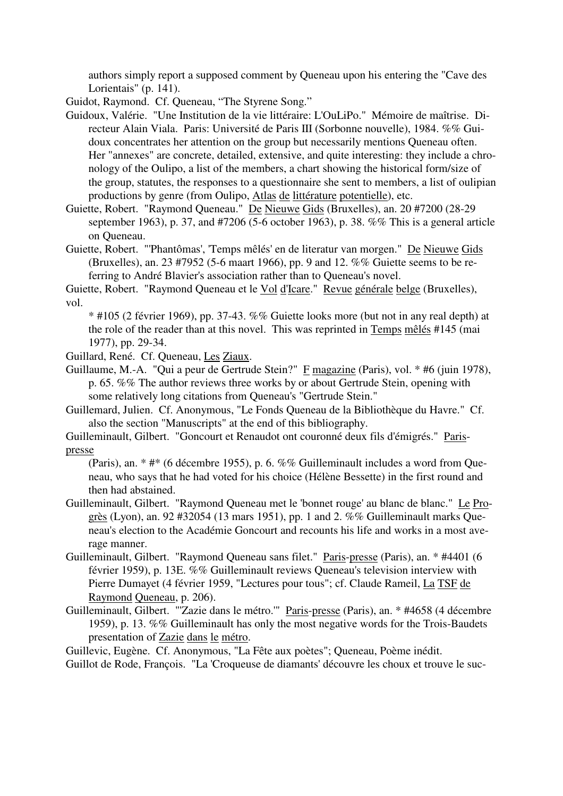authors simply report a supposed comment by Queneau upon his entering the "Cave des Lorientais" (p. 141).

Guidot, Raymond. Cf. Queneau, "The Styrene Song."

- Guidoux, Valérie. "Une Institution de la vie littéraire: L'OuLiPo." Mémoire de maîtrise. Directeur Alain Viala. Paris: Université de Paris III (Sorbonne nouvelle), 1984. %% Guidoux concentrates her attention on the group but necessarily mentions Queneau often. Her "annexes" are concrete, detailed, extensive, and quite interesting: they include a chronology of the Oulipo, a list of the members, a chart showing the historical form/size of the group, statutes, the responses to a questionnaire she sent to members, a list of oulipian productions by genre (from Oulipo, Atlas de littérature potentielle), etc.
- Guiette, Robert. "Raymond Queneau." De Nieuwe Gids (Bruxelles), an. 20 #7200 (28-29 september 1963), p. 37, and #7206 (5-6 october 1963), p. 38. %% This is a general article on Queneau.
- Guiette, Robert. "'Phantômas', 'Temps mêlés' en de literatur van morgen." De Nieuwe Gids (Bruxelles), an. 23 #7952 (5-6 maart 1966), pp. 9 and 12. %% Guiette seems to be referring to André Blavier's association rather than to Queneau's novel.

Guiette, Robert. "Raymond Queneau et le Vol d'Icare." Revue générale belge (Bruxelles), vol.

\* #105 (2 février 1969), pp. 37-43. %% Guiette looks more (but not in any real depth) at the role of the reader than at this novel. This was reprinted in Temps mêlés #145 (mai 1977), pp. 29-34.

- Guillard, René. Cf. Queneau, Les Ziaux.
- Guillaume, M.-A. "Qui a peur de Gertrude Stein?" F magazine (Paris), vol. \* #6 (juin 1978), p. 65. %% The author reviews three works by or about Gertrude Stein, opening with some relatively long citations from Queneau's "Gertrude Stein."
- Guillemard, Julien. Cf. Anonymous, "Le Fonds Queneau de la Bibliothèque du Havre." Cf. also the section "Manuscripts" at the end of this bibliography.
- Guilleminault, Gilbert. "Goncourt et Renaudot ont couronné deux fils d'émigrés." Parispresse

(Paris), an. \* #\* (6 décembre 1955), p. 6. %% Guilleminault includes a word from Queneau, who says that he had voted for his choice (Hélène Bessette) in the first round and then had abstained.

- Guilleminault, Gilbert. "Raymond Queneau met le 'bonnet rouge' au blanc de blanc." Le Progrès (Lyon), an. 92 #32054 (13 mars 1951), pp. 1 and 2. %% Guilleminault marks Queneau's election to the Académie Goncourt and recounts his life and works in a most average manner.
- Guilleminault, Gilbert. "Raymond Queneau sans filet." Paris-presse (Paris), an. \* #4401 (6 février 1959), p. 13E. %% Guilleminault reviews Queneau's television interview with Pierre Dumayet (4 février 1959, "Lectures pour tous"; cf. Claude Rameil, La TSF de Raymond Queneau, p. 206).
- Guilleminault, Gilbert. "'Zazie dans le métro.'" Paris-presse (Paris), an. \* #4658 (4 décembre 1959), p. 13. %% Guilleminault has only the most negative words for the Trois-Baudets presentation of Zazie dans le métro.

Guillevic, Eugène. Cf. Anonymous, "La Fête aux poètes"; Queneau, Poème inédit.

Guillot de Rode, François. "La 'Croqueuse de diamants' découvre les choux et trouve le suc-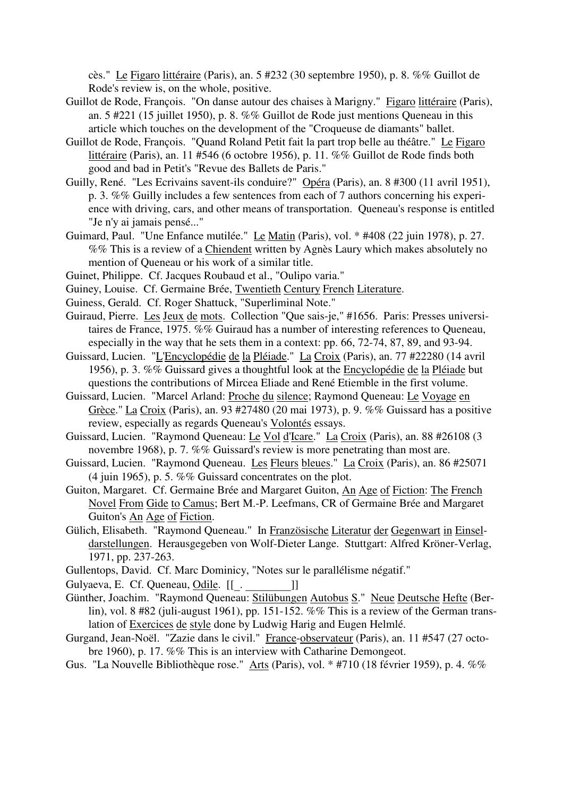cès." Le Figaro littéraire (Paris), an. 5 #232 (30 septembre 1950), p. 8. %% Guillot de Rode's review is, on the whole, positive.

- Guillot de Rode, François. "On danse autour des chaises à Marigny." Figaro littéraire (Paris), an. 5 #221 (15 juillet 1950), p. 8. %% Guillot de Rode just mentions Queneau in this article which touches on the development of the "Croqueuse de diamants" ballet.
- Guillot de Rode, François. "Quand Roland Petit fait la part trop belle au théâtre." Le Figaro littéraire (Paris), an. 11 #546 (6 octobre 1956), p. 11. %% Guillot de Rode finds both good and bad in Petit's "Revue des Ballets de Paris."
- Guilly, René. "Les Ecrivains savent-ils conduire?" Opéra (Paris), an. 8 #300 (11 avril 1951), p. 3. %% Guilly includes a few sentences from each of 7 authors concerning his experience with driving, cars, and other means of transportation. Queneau's response is entitled "Je n'y ai jamais pensé..."
- Guimard, Paul. "Une Enfance mutilée." Le Matin (Paris), vol. \* #408 (22 juin 1978), p. 27. %% This is a review of a Chiendent written by Agnès Laury which makes absolutely no mention of Queneau or his work of a similar title.
- Guinet, Philippe. Cf. Jacques Roubaud et al., "Oulipo varia."
- Guiney, Louise. Cf. Germaine Brée, Twentieth Century French Literature.
- Guiness, Gerald. Cf. Roger Shattuck, "Superliminal Note."
- Guiraud, Pierre. Les Jeux de mots. Collection "Que sais-je," #1656. Paris: Presses universitaires de France, 1975. %% Guiraud has a number of interesting references to Queneau, especially in the way that he sets them in a context: pp. 66, 72-74, 87, 89, and 93-94.
- Guissard, Lucien. "L'Encyclopédie de la Pléiade." La Croix (Paris), an. 77 #22280 (14 avril 1956), p. 3. %% Guissard gives a thoughtful look at the Encyclopédie de la Pléiade but questions the contributions of Mircea Eliade and René Etiemble in the first volume.
- Guissard, Lucien. "Marcel Arland: Proche du silence; Raymond Queneau: Le Voyage en Grèce." La Croix (Paris), an. 93 #27480 (20 mai 1973), p. 9. %% Guissard has a positive review, especially as regards Queneau's Volontés essays.
- Guissard, Lucien. "Raymond Queneau: Le Vol d'Icare." La Croix (Paris), an. 88 #26108 (3 novembre 1968), p. 7. %% Guissard's review is more penetrating than most are.
- Guissard, Lucien. "Raymond Queneau. Les Fleurs bleues." La Croix (Paris), an. 86 #25071 (4 juin 1965), p. 5. %% Guissard concentrates on the plot.
- Guiton, Margaret. Cf. Germaine Brée and Margaret Guiton, An Age of Fiction: The French Novel From Gide to Camus; Bert M.-P. Leefmans, CR of Germaine Brée and Margaret Guiton's An Age of Fiction.
- Gülich, Elisabeth. "Raymond Queneau." In Französische Literatur der Gegenwart in Einseldarstellungen. Herausgegeben von Wolf-Dieter Lange. Stuttgart: Alfred Kröner-Verlag, 1971, pp. 237-263.
- Gullentops, David. Cf. Marc Dominicy, "Notes sur le parallélisme négatif."
- Gulyaeva, E. Cf. Queneau, Odile. [[... [...]]
- Günther, Joachim. "Raymond Queneau: Stilübungen Autobus S." Neue Deutsche Hefte (Berlin), vol. 8 #82 (juli-august 1961), pp. 151-152. %% This is a review of the German translation of Exercices de style done by Ludwig Harig and Eugen Helmlé.
- Gurgand, Jean-Noël. "Zazie dans le civil." France-observateur (Paris), an. 11 #547 (27 octobre 1960), p. 17. %% This is an interview with Catharine Demongeot.
- Gus. "La Nouvelle Bibliothèque rose." Arts (Paris), vol. \* #710 (18 février 1959), p. 4. %%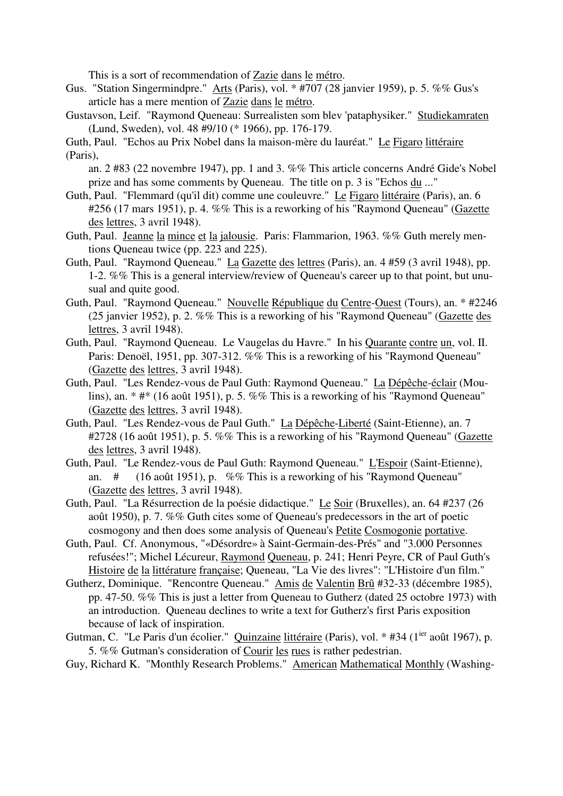This is a sort of recommendation of Zazie dans le métro.

- Gus. "Station Singermindpre." Arts (Paris), vol. \* #707 (28 janvier 1959), p. 5. %% Gus's article has a mere mention of Zazie dans le métro.
- Gustavson, Leif. "Raymond Queneau: Surrealisten som blev 'pataphysiker." Studiekamraten (Lund, Sweden), vol. 48 #9/10 (\* 1966), pp. 176-179.

Guth, Paul. "Echos au Prix Nobel dans la maison-mère du lauréat." Le Figaro littéraire (Paris),

an. 2 #83 (22 novembre 1947), pp. 1 and 3. %% This article concerns André Gide's Nobel prize and has some comments by Queneau. The title on p. 3 is "Echos du ..."

- Guth, Paul. "Flemmard (qu'il dit) comme une couleuvre." Le Figaro littéraire (Paris), an. 6 #256 (17 mars 1951), p. 4. %% This is a reworking of his "Raymond Queneau" (Gazette des lettres, 3 avril 1948).
- Guth, Paul. Jeanne la mince et la jalousie. Paris: Flammarion, 1963. %% Guth merely mentions Queneau twice (pp. 223 and 225).
- Guth, Paul. "Raymond Queneau." La Gazette des lettres (Paris), an. 4 #59 (3 avril 1948), pp. 1-2. %% This is a general interview/review of Queneau's career up to that point, but unusual and quite good.
- Guth, Paul. "Raymond Queneau." Nouvelle République du Centre-Ouest (Tours), an. \* #2246 (25 janvier 1952), p. 2. %% This is a reworking of his "Raymond Queneau" (Gazette des lettres, 3 avril 1948).
- Guth, Paul. "Raymond Queneau. Le Vaugelas du Havre." In his Quarante contre un, vol. II. Paris: Denoël, 1951, pp. 307-312. %% This is a reworking of his "Raymond Queneau" (Gazette des lettres, 3 avril 1948).
- Guth, Paul. "Les Rendez-vous de Paul Guth: Raymond Queneau." La Dépêche-éclair (Moulins), an. \* #\* (16 août 1951), p. 5. %% This is a reworking of his "Raymond Queneau" (Gazette des lettres, 3 avril 1948).
- Guth, Paul. "Les Rendez-vous de Paul Guth." La Dépêche-Liberté (Saint-Etienne), an. 7 #2728 (16 août 1951), p. 5. %% This is a reworking of his "Raymond Queneau" (Gazette des lettres, 3 avril 1948).
- Guth, Paul. "Le Rendez-vous de Paul Guth: Raymond Queneau." L'Espoir (Saint-Etienne), an. # (16 août 1951), p. %% This is a reworking of his "Raymond Queneau" (Gazette des lettres, 3 avril 1948).
- Guth, Paul. "La Résurrection de la poésie didactique." Le Soir (Bruxelles), an. 64 #237 (26 août 1950), p. 7. %% Guth cites some of Queneau's predecessors in the art of poetic cosmogony and then does some analysis of Queneau's Petite Cosmogonie portative.
- Guth, Paul. Cf. Anonymous, "«Désordre» à Saint-Germain-des-Prés" and "3.000 Personnes refusées!"; Michel Lécureur, Raymond Queneau, p. 241; Henri Peyre, CR of Paul Guth's Histoire de la littérature française; Queneau, "La Vie des livres": "L'Histoire d'un film."
- Gutherz, Dominique. "Rencontre Queneau." Amis de Valentin Brû #32-33 (décembre 1985), pp. 47-50. %% This is just a letter from Queneau to Gutherz (dated 25 octobre 1973) with an introduction. Queneau declines to write a text for Gutherz's first Paris exposition because of lack of inspiration.
- Gutman, C. "Le Paris d'un écolier." Quinzaine littéraire (Paris), vol. \* #34 (1<sup>ier</sup> août 1967), p. 5. %% Gutman's consideration of Courir les rues is rather pedestrian.

Guy, Richard K. "Monthly Research Problems." American Mathematical Monthly (Washing-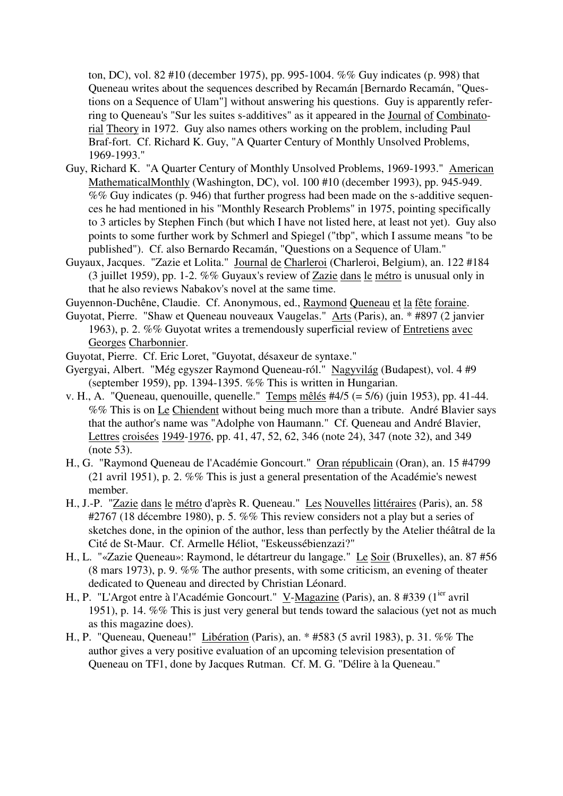ton, DC), vol. 82 #10 (december 1975), pp. 995-1004. %% Guy indicates (p. 998) that Queneau writes about the sequences described by Recamán [Bernardo Recamán, "Questions on a Sequence of Ulam"] without answering his questions. Guy is apparently referring to Queneau's "Sur les suites s-additives" as it appeared in the Journal of Combinatorial Theory in 1972. Guy also names others working on the problem, including Paul Braf-fort. Cf. Richard K. Guy, "A Quarter Century of Monthly Unsolved Problems, 1969-1993."

- Guy, Richard K. "A Quarter Century of Monthly Unsolved Problems, 1969-1993." American MathematicalMonthly (Washington, DC), vol. 100 #10 (december 1993), pp. 945-949. %% Guy indicates (p. 946) that further progress had been made on the s-additive sequences he had mentioned in his "Monthly Research Problems" in 1975, pointing specifically to 3 articles by Stephen Finch (but which I have not listed here, at least not yet). Guy also points to some further work by Schmerl and Spiegel ("tbp", which I assume means "to be published"). Cf. also Bernardo Recamán, "Questions on a Sequence of Ulam."
- Guyaux, Jacques. "Zazie et Lolita." Journal de Charleroi (Charleroi, Belgium), an. 122 #184 (3 juillet 1959), pp. 1-2. %% Guyaux's review of Zazie dans le métro is unusual only in that he also reviews Nabakov's novel at the same time.
- Guyennon-Duchêne, Claudie. Cf. Anonymous, ed., Raymond Queneau et la fête foraine.
- Guyotat, Pierre. "Shaw et Queneau nouveaux Vaugelas." Arts (Paris), an. \* #897 (2 janvier 1963), p. 2. %% Guyotat writes a tremendously superficial review of Entretiens avec Georges Charbonnier.
- Guyotat, Pierre. Cf. Eric Loret, "Guyotat, désaxeur de syntaxe."
- Gyergyai, Albert. "Még egyszer Raymond Queneau-ról." Nagyvilág (Budapest), vol. 4 #9 (september 1959), pp. 1394-1395. %% This is written in Hungarian.
- v. H., A. "Queneau, quenouille, quenelle." Temps mêlés #4/5 (=  $5/6$ ) (juin 1953), pp. 41-44. %% This is on Le Chiendent without being much more than a tribute. André Blavier says that the author's name was "Adolphe von Haumann." Cf. Queneau and André Blavier, Lettres croisées 1949-1976, pp. 41, 47, 52, 62, 346 (note 24), 347 (note 32), and 349 (note 53).
- H., G. "Raymond Queneau de l'Académie Goncourt." Oran républicain (Oran), an. 15 #4799 (21 avril 1951), p. 2. %% This is just a general presentation of the Académie's newest member.
- H., J.-P. "Zazie dans le métro d'après R. Queneau." Les Nouvelles littéraires (Paris), an. 58 #2767 (18 décembre 1980), p. 5. %% This review considers not a play but a series of sketches done, in the opinion of the author, less than perfectly by the Atelier théâtral de la Cité de St-Maur. Cf. Armelle Héliot, "Eskeussébienzazi?"
- H., L. "«Zazie Queneau»: Raymond, le détartreur du langage." Le Soir (Bruxelles), an. 87 #56 (8 mars 1973), p. 9. %% The author presents, with some criticism, an evening of theater dedicated to Queneau and directed by Christian Léonard.
- H., P. "L'Argot entre à l'Académie Goncourt." V-Magazine (Paris), an. 8 #339 (1<sup>ier</sup> avril 1951), p. 14. %% This is just very general but tends toward the salacious (yet not as much as this magazine does).
- H., P. "Queneau, Queneau!" Libération (Paris), an. \* #583 (5 avril 1983), p. 31. %% The author gives a very positive evaluation of an upcoming television presentation of Queneau on TF1, done by Jacques Rutman. Cf. M. G. "Délire à la Queneau."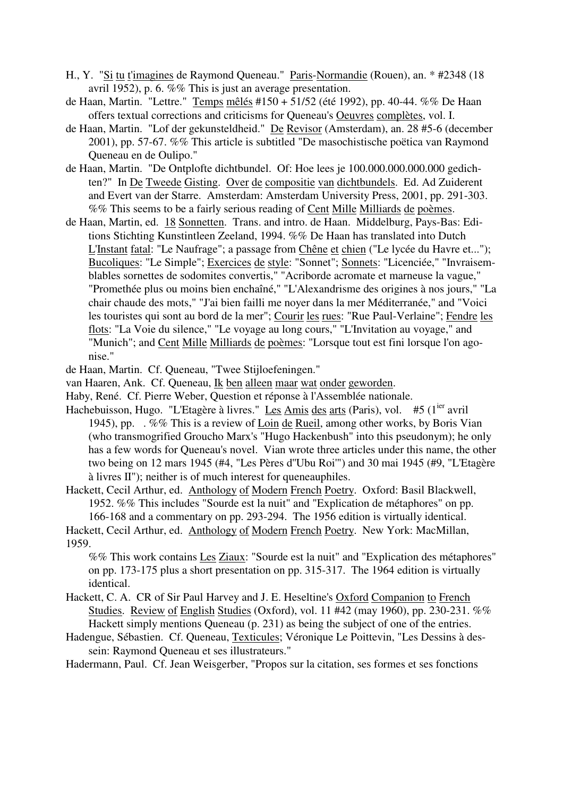- H., Y. "Si tu t'imagines de Raymond Queneau." Paris-Normandie (Rouen), an. \* #2348 (18 avril 1952), p. 6. %% This is just an average presentation.
- de Haan, Martin. "Lettre." Temps mêlés #150 + 51/52 (été 1992), pp. 40-44. %% De Haan offers textual corrections and criticisms for Queneau's Oeuvres complètes, vol. I.
- de Haan, Martin. "Lof der gekunsteldheid." De Revisor (Amsterdam), an. 28 #5-6 (december 2001), pp. 57-67. %% This article is subtitled "De masochistische poëtica van Raymond Queneau en de Oulipo."
- de Haan, Martin. "De Ontplofte dichtbundel. Of: Hoe lees je 100.000.000.000.000 gedichten?" In De Tweede Gisting. Over de compositie van dichtbundels. Ed. Ad Zuiderent and Evert van der Starre. Amsterdam: Amsterdam University Press, 2001, pp. 291-303. %% This seems to be a fairly serious reading of Cent Mille Milliards de poèmes.
- de Haan, Martin, ed. 18 Sonnetten. Trans. and intro. de Haan. Middelburg, Pays-Bas: Editions Stichting Kunstintleen Zeeland, 1994. %% De Haan has translated into Dutch L'Instant fatal: "Le Naufrage"; a passage from Chêne et chien ("Le lycée du Havre et..."); Bucoliques: "Le Simple"; Exercices de style: "Sonnet"; Sonnets: "Licenciée," "Invraisemblables sornettes de sodomites convertis," "Acriborde acromate et marneuse la vague," "Promethée plus ou moins bien enchaîné," "L'Alexandrisme des origines à nos jours," "La chair chaude des mots," "J'ai bien failli me noyer dans la mer Méditerranée," and "Voici les touristes qui sont au bord de la mer"; Courir les rues: "Rue Paul-Verlaine"; Fendre les flots: "La Voie du silence," "Le voyage au long cours," "L'Invitation au voyage," and "Munich"; and Cent Mille Milliards de poèmes: "Lorsque tout est fini lorsque l'on agonise."

de Haan, Martin. Cf. Queneau, "Twee Stijloefeningen."

- van Haaren, Ank. Cf. Queneau, Ik ben alleen maar wat onder geworden.
- Haby, René. Cf. Pierre Weber, Question et réponse à l'Assemblée nationale.
- Hachebuisson, Hugo. "L'Etagère à livres." Les Amis des arts (Paris), vol. #5 (1<sup>ier</sup> avril 1945), pp. . %% This is a review of Loin de Rueil, among other works, by Boris Vian (who transmogrified Groucho Marx's "Hugo Hackenbush" into this pseudonym); he only has a few words for Queneau's novel. Vian wrote three articles under this name, the other two being on 12 mars 1945 (#4, "Les Pères d''Ubu Roi'") and 30 mai 1945 (#9, "L'Etagère à livres II"); neither is of much interest for queneauphiles.

Hackett, Cecil Arthur, ed. Anthology of Modern French Poetry. Oxford: Basil Blackwell, 1952. %% This includes "Sourde est la nuit" and "Explication de métaphores" on pp. 166-168 and a commentary on pp. 293-294. The 1956 edition is virtually identical.

Hackett, Cecil Arthur, ed. Anthology of Modern French Poetry. New York: MacMillan, 1959.

%% This work contains Les Ziaux: "Sourde est la nuit" and "Explication des métaphores" on pp. 173-175 plus a short presentation on pp. 315-317. The 1964 edition is virtually identical.

Hackett, C. A. CR of Sir Paul Harvey and J. E. Heseltine's Oxford Companion to French Studies. Review of English Studies (Oxford), vol. 11 #42 (may 1960), pp. 230-231. %% Hackett simply mentions Queneau (p. 231) as being the subject of one of the entries.

Hadengue, Sébastien. Cf. Queneau, Texticules; Véronique Le Poittevin, "Les Dessins à dessein: Raymond Queneau et ses illustrateurs."

Hadermann, Paul. Cf. Jean Weisgerber, "Propos sur la citation, ses formes et ses fonctions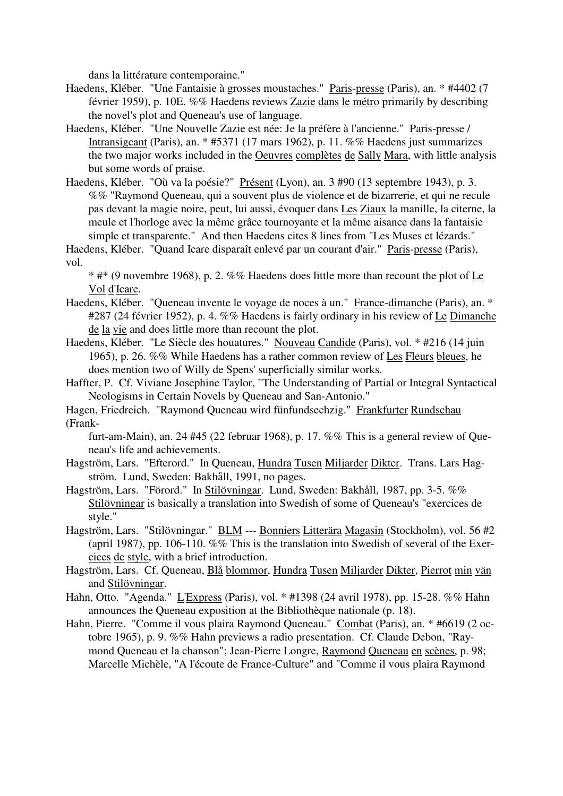dans la littérature contemporaine."

- Haedens, Kléber. "Une Fantaisie à grosses moustaches." Paris-presse (Paris), an. \* #4402 (7 février 1959), p. 10E. %% Haedens reviews Zazie dans le métro primarily by describing the novel's plot and Queneau's use of language.
- Haedens, Kléber. "Une Nouvelle Zazie est née: Je la préfère à l'ancienne." Paris-presse / Intransigeant (Paris), an. \* #5371 (17 mars 1962), p. 11. %% Haedens just summarizes the two major works included in the Oeuvres complètes de Sally Mara, with little analysis but some words of praise.
- Haedens, Kléber. "Où va la poésie?" Présent (Lyon), an. 3 #90 (13 septembre 1943), p. 3. %% "Raymond Queneau, qui a souvent plus de violence et de bizarrerie, et qui ne recule pas devant la magie noire, peut, lui aussi, évoquer dans Les Ziaux la manille, la citerne, la meule et l'horloge avec la même grâce tournoyante et la même aisance dans la fantaisie simple et transparente." And then Haedens cites 8 lines from "Les Muses et lézards."

Haedens, Kléber. "Quand Icare disparaît enlevé par un courant d'air." Paris-presse (Paris), vol.

 $*$  #\* (9 novembre 1968), p. 2. %% Haedens does little more than recount the plot of Le Vol d'Icare.

- Haedens, Kléber. "Queneau invente le voyage de noces à un." France-dimanche (Paris), an. \* #287 (24 février 1952), p. 4. %% Haedens is fairly ordinary in his review of Le Dimanche de la vie and does little more than recount the plot.
- Haedens, Kléber. "Le Siècle des houatures." Nouveau Candide (Paris), vol. \* #216 (14 juin 1965), p. 26. %% While Haedens has a rather common review of Les Fleurs bleues, he does mention two of Willy de Spens' superficially similar works.
- Haffter, P. Cf. Viviane Josephine Taylor, "The Understanding of Partial or Integral Syntactical Neologisms in Certain Novels by Queneau and San-Antonio."

Hagen, Friedreich. "Raymond Queneau wird fünfundsechzig." Frankfurter Rundschau (Frank-

furt-am-Main), an. 24 #45 (22 februar 1968), p. 17. %% This is a general review of Queneau's life and achievements.

- Hagström, Lars. "Efterord." In Queneau, Hundra Tusen Miljarder Dikter. Trans. Lars Hagström. Lund, Sweden: Bakhåll, 1991, no pages.
- Hagström, Lars. "Förord." In Stilövningar. Lund, Sweden: Bakhåll, 1987, pp. 3-5. %% Stilövningar is basically a translation into Swedish of some of Queneau's "exercices de style."
- Hagström, Lars. "Stilövningar." BLM --- Bonniers Litterära Magasin (Stockholm), vol. 56 #2 (april 1987), pp. 106-110. %% This is the translation into Swedish of several of the Exercices de style, with a brief introduction.
- Hagström, Lars. Cf. Queneau, Blå blommor, Hundra Tusen Miljarder Dikter, Pierrot min vän and Stilövningar.
- Hahn, Otto. "Agenda." L'Express (Paris), vol. \* #1398 (24 avril 1978), pp. 15-28. %% Hahn announces the Queneau exposition at the Bibliothèque nationale (p. 18).
- Hahn, Pierre. "Comme il vous plaira Raymond Queneau." Combat (Paris), an. \* #6619 (2 octobre 1965), p. 9. %% Hahn previews a radio presentation. Cf. Claude Debon, "Raymond Queneau et la chanson"; Jean-Pierre Longre, Raymond Queneau en scènes, p. 98; Marcelle Michèle, "A l'écoute de France-Culture" and "Comme il vous plaira Raymond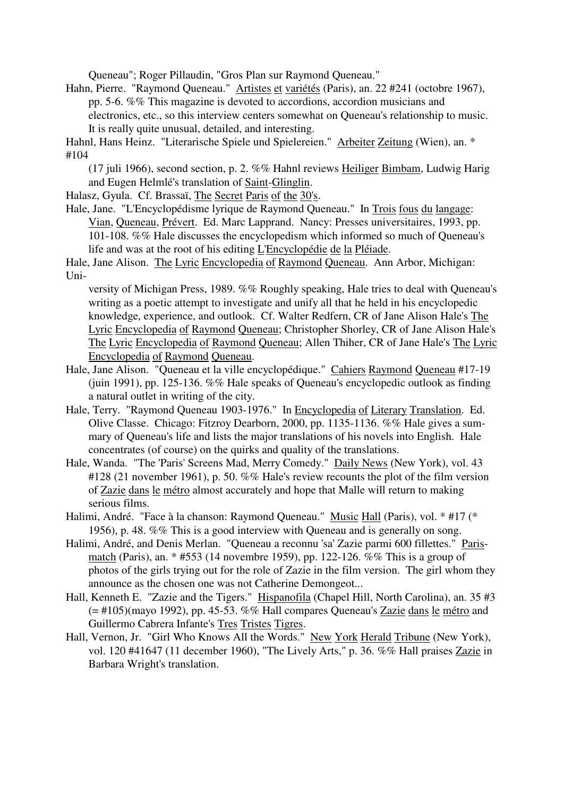Queneau"; Roger Pillaudin, "Gros Plan sur Raymond Queneau."

Hahn, Pierre. "Raymond Queneau." Artistes et variétés (Paris), an. 22 #241 (octobre 1967), pp. 5-6. %% This magazine is devoted to accordions, accordion musicians and electronics, etc., so this interview centers somewhat on Queneau's relationship to music. It is really quite unusual, detailed, and interesting.

Hahnl, Hans Heinz. "Literarische Spiele und Spielereien." Arbeiter Zeitung (Wien), an. \* #104

(17 juli 1966), second section, p. 2. %% Hahnl reviews Heiliger Bimbam, Ludwig Harig and Eugen Helmlé's translation of Saint-Glinglin.

Halasz, Gyula. Cf. Brassaï, The Secret Paris of the 30's.

Hale, Jane. "L'Encyclopédisme lyrique de Raymond Queneau." In Trois fous du langage: Vian, Queneau, Prévert. Ed. Marc Lapprand. Nancy: Presses universitaires, 1993, pp. 101-108. %% Hale discusses the encyclopedism which informed so much of Queneau's life and was at the root of his editing L'Encyclopédie de la Pléiade.

Hale, Jane Alison. The Lyric Encyclopedia of Raymond Queneau. Ann Arbor, Michigan: Uni-

versity of Michigan Press, 1989. %% Roughly speaking, Hale tries to deal with Queneau's writing as a poetic attempt to investigate and unify all that he held in his encyclopedic knowledge, experience, and outlook. Cf. Walter Redfern, CR of Jane Alison Hale's The Lyric Encyclopedia of Raymond Queneau; Christopher Shorley, CR of Jane Alison Hale's The Lyric Encyclopedia of Raymond Queneau; Allen Thiher, CR of Jane Hale's The Lyric Encyclopedia of Raymond Queneau.

- Hale, Jane Alison. "Queneau et la ville encyclopédique." Cahiers Raymond Queneau #17-19 (juin 1991), pp. 125-136. %% Hale speaks of Queneau's encyclopedic outlook as finding a natural outlet in writing of the city.
- Hale, Terry. "Raymond Queneau 1903-1976." In Encyclopedia of Literary Translation. Ed. Olive Classe. Chicago: Fitzroy Dearborn, 2000, pp. 1135-1136. %% Hale gives a summary of Queneau's life and lists the major translations of his novels into English. Hale concentrates (of course) on the quirks and quality of the translations.
- Hale, Wanda. "The 'Paris' Screens Mad, Merry Comedy." Daily News (New York), vol. 43 #128 (21 november 1961), p. 50. %% Hale's review recounts the plot of the film version of Zazie dans le métro almost accurately and hope that Malle will return to making serious films.
- Halimi, André. "Face à la chanson: Raymond Queneau." Music Hall (Paris), vol. \* #17 (\* 1956), p. 48. %% This is a good interview with Queneau and is generally on song.
- Halimi, André, and Denis Merlan. "Queneau a reconnu 'sa' Zazie parmi 600 fillettes." Parismatch (Paris), an. \* #553 (14 novembre 1959), pp. 122-126. %% This is a group of photos of the girls trying out for the role of Zazie in the film version. The girl whom they announce as the chosen one was not Catherine Demongeot...
- Hall, Kenneth E. "Zazie and the Tigers." Hispanofila (Chapel Hill, North Carolina), an. 35 #3  $(=$  #105)(mayo 1992), pp. 45-53. %% Hall compares Queneau's  $\overline{Zazie}$  dans le métro and Guillermo Cabrera Infante's Tres Tristes Tigres.
- Hall, Vernon, Jr. "Girl Who Knows All the Words." New York Herald Tribune (New York), vol. 120 #41647 (11 december 1960), "The Lively Arts," p. 36. %% Hall praises Zazie in Barbara Wright's translation.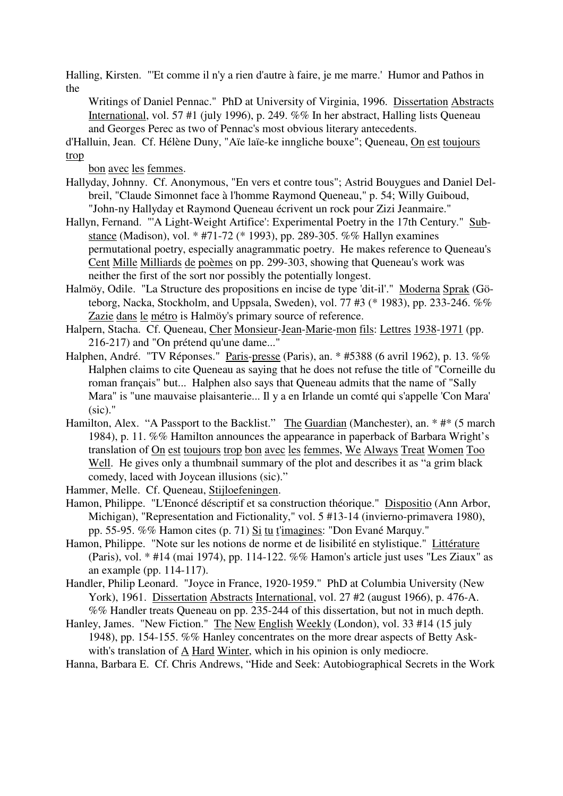Halling, Kirsten. "'Et comme il n'y a rien d'autre à faire, je me marre.' Humor and Pathos in the

Writings of Daniel Pennac." PhD at University of Virginia, 1996. Dissertation Abstracts International, vol. 57 #1 (july 1996), p. 249. %% In her abstract, Halling lists Queneau and Georges Perec as two of Pennac's most obvious literary antecedents.

d'Halluin, Jean. Cf. Hélène Duny, "Aïe laïe-ke inngliche bouxe"; Queneau, On est toujours trop

bon avec les femmes.

- Hallyday, Johnny. Cf. Anonymous, "En vers et contre tous"; Astrid Bouygues and Daniel Delbreil, "Claude Simonnet face à l'homme Raymond Queneau," p. 54; Willy Guiboud, "John-ny Hallyday et Raymond Queneau écrivent un rock pour Zizi Jeanmaire."
- Hallyn, Fernand. "'A Light-Weight Artifice': Experimental Poetry in the 17th Century." Substance (Madison), vol. \* #71-72 (\* 1993), pp. 289-305. %% Hallyn examines permutational poetry, especially anagrammatic poetry. He makes reference to Queneau's Cent Mille Milliards de poèmes on pp. 299-303, showing that Queneau's work was neither the first of the sort nor possibly the potentially longest.
- Halmöy, Odile. "La Structure des propositions en incise de type 'dit-il'." Moderna Sprak (Göteborg, Nacka, Stockholm, and Uppsala, Sweden), vol. 77 #3 (\* 1983), pp. 233-246. %% Zazie dans le métro is Halmöy's primary source of reference.
- Halpern, Stacha. Cf. Queneau, Cher Monsieur-Jean-Marie-mon fils: Lettres 1938-1971 (pp. 216-217) and "On prétend qu'une dame..."
- Halphen, André. "TV Réponses." Paris-presse (Paris), an. \* #5388 (6 avril 1962), p. 13. %% Halphen claims to cite Queneau as saying that he does not refuse the title of "Corneille du roman français" but... Halphen also says that Queneau admits that the name of "Sally Mara" is "une mauvaise plaisanterie... Il y a en Irlande un comté qui s'appelle 'Con Mara'  $(sic)$ ."
- Hamilton, Alex. "A Passport to the Backlist." The Guardian (Manchester), an. \* #\* (5 march 1984), p. 11. %% Hamilton announces the appearance in paperback of Barbara Wright's translation of On est toujours trop bon avec les femmes, We Always Treat Women Too Well. He gives only a thumbnail summary of the plot and describes it as "a grim black" comedy, laced with Joycean illusions (sic)."
- Hammer, Melle. Cf. Queneau, Stijloefeningen.
- Hamon, Philippe. "L'Enoncé déscriptif et sa construction théorique." Dispositio (Ann Arbor, Michigan), "Representation and Fictionality," vol. 5 #13-14 (invierno-primavera 1980), pp. 55-95. %% Hamon cites (p. 71) Si tu t'imagines: "Don Evané Marquy."
- Hamon, Philippe. "Note sur les notions de norme et de lisibilité en stylistique." Littérature (Paris), vol. \* #14 (mai 1974), pp. 114-122. %% Hamon's article just uses "Les Ziaux" as an example (pp. 114-117).
- Handler, Philip Leonard. "Joyce in France, 1920-1959." PhD at Columbia University (New York), 1961. Dissertation Abstracts International, vol. 27 #2 (august 1966), p. 476-A. %% Handler treats Queneau on pp. 235-244 of this dissertation, but not in much depth.
- Hanley, James. "New Fiction." The New English Weekly (London), vol. 33 #14 (15 july 1948), pp. 154-155. %% Hanley concentrates on the more drear aspects of Betty Askwith's translation of A Hard Winter, which in his opinion is only mediocre.
- Hanna, Barbara E. Cf. Chris Andrews, "Hide and Seek: Autobiographical Secrets in the Work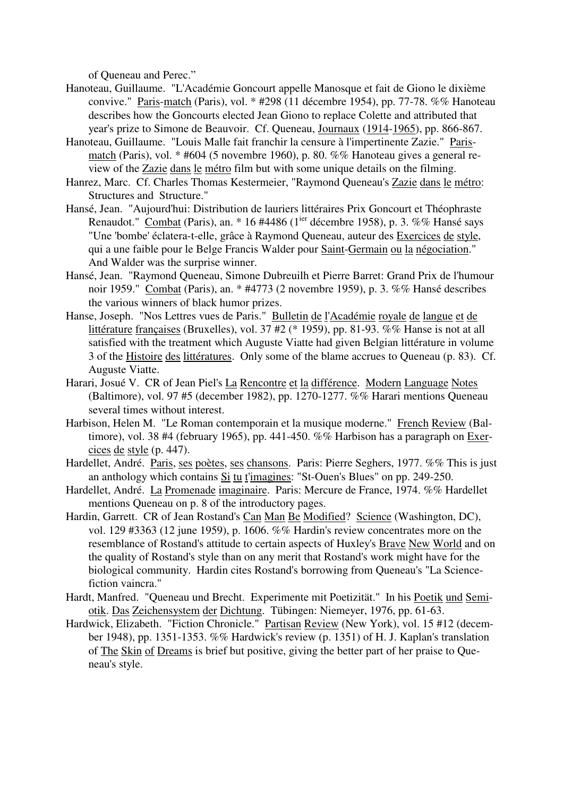of Queneau and Perec."

- Hanoteau, Guillaume. "L'Académie Goncourt appelle Manosque et fait de Giono le dixième convive." Paris-match (Paris), vol. \* #298 (11 décembre 1954), pp. 77-78. %% Hanoteau describes how the Goncourts elected Jean Giono to replace Colette and attributed that year's prize to Simone de Beauvoir. Cf. Queneau, Journaux (1914-1965), pp. 866-867.
- Hanoteau, Guillaume. "Louis Malle fait franchir la censure à l'impertinente Zazie." Parismatch (Paris), vol. \* #604 (5 novembre 1960), p. 80. %% Hanoteau gives a general review of the Zazie dans le métro film but with some unique details on the filming.
- Hanrez, Marc. Cf. Charles Thomas Kestermeier, "Raymond Queneau's Zazie dans le métro: Structures and Structure."
- Hansé, Jean. "Aujourd'hui: Distribution de lauriers littéraires Prix Goncourt et Théophraste Renaudot." Combat (Paris), an.  $*$  16 #4486 (1<sup>ier</sup> décembre 1958), p. 3. %% Hansé says "Une 'bombe' éclatera-t-elle, grâce à Raymond Queneau, auteur des Exercices de style, qui a une faible pour le Belge Francis Walder pour Saint-Germain ou la négociation." And Walder was the surprise winner.
- Hansé, Jean. "Raymond Queneau, Simone Dubreuilh et Pierre Barret: Grand Prix de l'humour noir 1959." Combat (Paris), an. \* #4773 (2 novembre 1959), p. 3. %% Hansé describes the various winners of black humor prizes.
- Hanse, Joseph. "Nos Lettres vues de Paris." Bulletin de l'Académie royale de langue et de littérature françaises (Bruxelles), vol. 37 #2 (\* 1959), pp. 81-93. %% Hanse is not at all satisfied with the treatment which Auguste Viatte had given Belgian littérature in volume 3 of the Histoire des littératures. Only some of the blame accrues to Queneau (p. 83). Cf. Auguste Viatte.
- Harari, Josué V. CR of Jean Piel's La Rencontre et la différence. Modern Language Notes (Baltimore), vol. 97 #5 (december 1982), pp. 1270-1277. %% Harari mentions Queneau several times without interest.
- Harbison, Helen M. "Le Roman contemporain et la musique moderne." French Review (Baltimore), vol. 38 #4 (february 1965), pp. 441-450.  $\%$ % Harbison has a paragraph on Exercices de style (p. 447).
- Hardellet, André. Paris, ses poètes, ses chansons. Paris: Pierre Seghers, 1977. %% This is just an anthology which contains Si tu t'imagines: "St-Ouen's Blues" on pp. 249-250.
- Hardellet, André. La Promenade imaginaire. Paris: Mercure de France, 1974. %% Hardellet mentions Queneau on p. 8 of the introductory pages.
- Hardin, Garrett. CR of Jean Rostand's Can Man Be Modified? Science (Washington, DC), vol. 129 #3363 (12 june 1959), p. 1606. %% Hardin's review concentrates more on the resemblance of Rostand's attitude to certain aspects of Huxley's Brave New World and on the quality of Rostand's style than on any merit that Rostand's work might have for the biological community. Hardin cites Rostand's borrowing from Queneau's "La Sciencefiction vaincra."
- Hardt, Manfred. "Queneau und Brecht. Experimente mit Poetizität." In his Poetik und Semiotik. Das Zeichensystem der Dichtung. Tübingen: Niemeyer, 1976, pp. 61-63.
- Hardwick, Elizabeth. "Fiction Chronicle." Partisan Review (New York), vol. 15 #12 (december 1948), pp. 1351-1353. %% Hardwick's review (p. 1351) of H. J. Kaplan's translation of The Skin of Dreams is brief but positive, giving the better part of her praise to Queneau's style.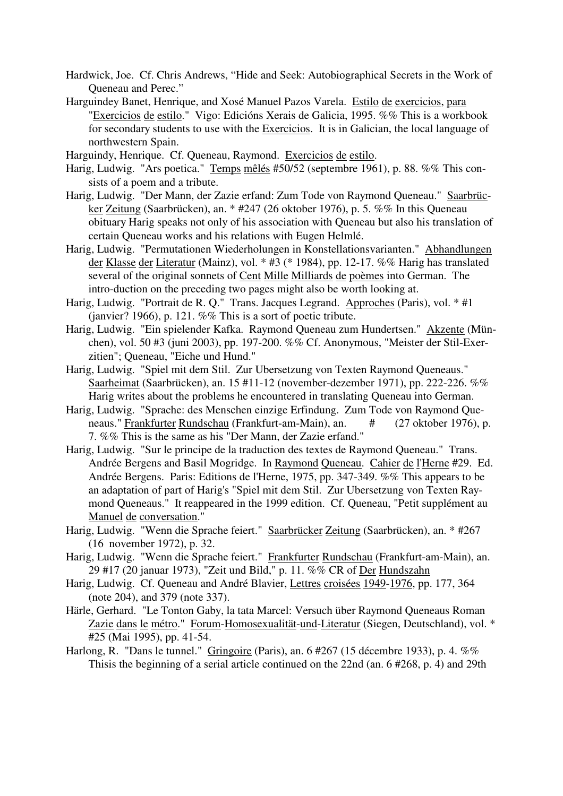- Hardwick, Joe. Cf. Chris Andrews, "Hide and Seek: Autobiographical Secrets in the Work of Queneau and Perec."
- Harguindey Banet, Henrique, and Xosé Manuel Pazos Varela. Estilo de exercicios, para "Exercicios de estilo." Vigo: Edicións Xerais de Galicia, 1995. %% This is a workbook for secondary students to use with the Exercicios. It is in Galician, the local language of northwestern Spain.

Harguindy, Henrique. Cf. Queneau, Raymond. Exercicios de estilo.

- Harig, Ludwig. "Ars poetica." Temps mêlés #50/52 (septembre 1961), p. 88. %% This consists of a poem and a tribute.
- Harig, Ludwig. "Der Mann, der Zazie erfand: Zum Tode von Raymond Queneau." Saarbrücker Zeitung (Saarbrücken), an. \* #247 (26 oktober 1976), p. 5. %% In this Queneau obituary Harig speaks not only of his association with Queneau but also his translation of certain Queneau works and his relations with Eugen Helmlé.
- Harig, Ludwig. "Permutationen Wiederholungen in Konstellationsvarianten." Abhandlungen der Klasse der Literatur (Mainz), vol. \* #3 (\* 1984), pp. 12-17. %% Harig has translated several of the original sonnets of Cent Mille Milliards de poèmes into German. The intro-duction on the preceding two pages might also be worth looking at.
- Harig, Ludwig. "Portrait de R. Q." Trans. Jacques Legrand. Approches (Paris), vol. \* #1 (janvier? 1966), p. 121.  $\%$ % This is a sort of poetic tribute.
- Harig, Ludwig. "Ein spielender Kafka. Raymond Queneau zum Hundertsen." Akzente (München), vol. 50 #3 (juni 2003), pp. 197-200. %% Cf. Anonymous, "Meister der Stil-Exerzitien"; Queneau, "Eiche und Hund."
- Harig, Ludwig. "Spiel mit dem Stil. Zur Ubersetzung von Texten Raymond Queneaus." Saarheimat (Saarbrücken), an. 15 #11-12 (november-dezember 1971), pp. 222-226. %% Harig writes about the problems he encountered in translating Queneau into German.
- Harig, Ludwig. "Sprache: des Menschen einzige Erfindung. Zum Tode von Raymond Queneaus." Frankfurter Rundschau (Frankfurt-am-Main), an. # (27 oktober 1976), p. 7. %% This is the same as his "Der Mann, der Zazie erfand."
- Harig, Ludwig. "Sur le principe de la traduction des textes de Raymond Queneau." Trans. Andrée Bergens and Basil Mogridge. In Raymond Queneau. Cahier de l'Herne #29. Ed. Andrée Bergens. Paris: Editions de l'Herne, 1975, pp. 347-349. %% This appears to be an adaptation of part of Harig's "Spiel mit dem Stil. Zur Ubersetzung von Texten Raymond Queneaus." It reappeared in the 1999 edition. Cf. Queneau, "Petit supplément au Manuel de conversation."
- Harig, Ludwig. "Wenn die Sprache feiert." Saarbrücker Zeitung (Saarbrücken), an. \* #267 (16 november 1972), p. 32.
- Harig, Ludwig. "Wenn die Sprache feiert." Frankfurter Rundschau (Frankfurt-am-Main), an. 29 #17 (20 januar 1973), "Zeit und Bild," p. 11. %% CR of Der Hundszahn
- Harig, Ludwig. Cf. Queneau and André Blavier, Lettres croisées 1949-1976, pp. 177, 364 (note 204), and 379 (note 337).
- Härle, Gerhard. "Le Tonton Gaby, la tata Marcel: Versuch über Raymond Queneaus Roman Zazie dans le métro." Forum-Homosexualität-und-Literatur (Siegen, Deutschland), vol. \* #25 (Mai 1995), pp. 41-54.
- Harlong, R. "Dans le tunnel." Gringoire (Paris), an. 6 #267 (15 décembre 1933), p. 4. %% Thisis the beginning of a serial article continued on the 22nd (an. 6 #268, p. 4) and 29th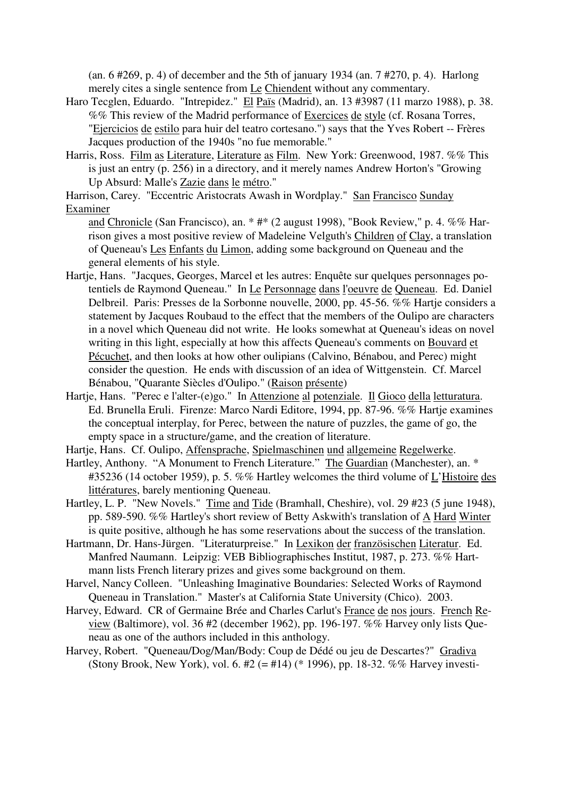(an. 6 #269, p. 4) of december and the 5th of january 1934 (an. 7 #270, p. 4). Harlong merely cites a single sentence from Le Chiendent without any commentary.

- Haro Tecglen, Eduardo. "Intrepidez." El Païs (Madrid), an. 13 #3987 (11 marzo 1988), p. 38. %% This review of the Madrid performance of Exercices de style (cf. Rosana Torres, "Ejercicios de estilo para huir del teatro cortesano.") says that the Yves Robert -- Frères Jacques production of the 1940s "no fue memorable."
- Harris, Ross. Film as Literature, Literature as Film. New York: Greenwood, 1987. %% This is just an entry (p. 256) in a directory, and it merely names Andrew Horton's "Growing Up Absurd: Malle's Zazie dans le métro."

Harrison, Carey. "Eccentric Aristocrats Awash in Wordplay." San Francisco Sunday Examiner

and Chronicle (San Francisco), an. \* #\* (2 august 1998), "Book Review," p. 4. %% Harrison gives a most positive review of Madeleine Velguth's Children of Clay, a translation of Queneau's Les Enfants du Limon, adding some background on Queneau and the general elements of his style.

- Hartje, Hans. "Jacques, Georges, Marcel et les autres: Enquête sur quelques personnages potentiels de Raymond Queneau." In Le Personnage dans l'oeuvre de Queneau. Ed. Daniel Delbreil. Paris: Presses de la Sorbonne nouvelle, 2000, pp. 45-56. %% Hartje considers a statement by Jacques Roubaud to the effect that the members of the Oulipo are characters in a novel which Queneau did not write. He looks somewhat at Queneau's ideas on novel writing in this light, especially at how this affects Queneau's comments on Bouvard et Pécuchet, and then looks at how other oulipians (Calvino, Bénabou, and Perec) might consider the question. He ends with discussion of an idea of Wittgenstein. Cf. Marcel Bénabou, "Quarante Siècles d'Oulipo." (Raison présente)
- Hartje, Hans. "Perec e l'alter-(e)go." In Attenzione al potenziale. Il Gioco della letturatura. Ed. Brunella Eruli. Firenze: Marco Nardi Editore, 1994, pp. 87-96. %% Hartje examines the conceptual interplay, for Perec, between the nature of puzzles, the game of go, the empty space in a structure/game, and the creation of literature.
- Hartje, Hans. Cf. Oulipo, Affensprache, Spielmaschinen und allgemeine Regelwerke.
- Hartley, Anthony. "A Monument to French Literature." The Guardian (Manchester), an. \* #35236 (14 october 1959), p. 5. %% Hartley welcomes the third volume of L'Histoire des littératures, barely mentioning Queneau.
- Hartley, L. P. "New Novels." Time and Tide (Bramhall, Cheshire), vol. 29 #23 (5 june 1948), pp. 589-590. %% Hartley's short review of Betty Askwith's translation of A Hard Winter is quite positive, although he has some reservations about the success of the translation.
- Hartmann, Dr. Hans-Jürgen. "Literaturpreise." In Lexikon der französischen Literatur. Ed. Manfred Naumann. Leipzig: VEB Bibliographisches Institut, 1987, p. 273. %% Hartmann lists French literary prizes and gives some background on them.
- Harvel, Nancy Colleen. "Unleashing Imaginative Boundaries: Selected Works of Raymond Queneau in Translation." Master's at California State University (Chico). 2003.
- Harvey, Edward. CR of Germaine Brée and Charles Carlut's France de nos jours. French Review (Baltimore), vol. 36 #2 (december 1962), pp. 196-197. %% Harvey only lists Queneau as one of the authors included in this anthology.
- Harvey, Robert. "Queneau/Dog/Man/Body: Coup de Dédé ou jeu de Descartes?" Gradiva (Stony Brook, New York), vol. 6. #2 (= #14) (\* 1996), pp. 18-32. %% Harvey investi-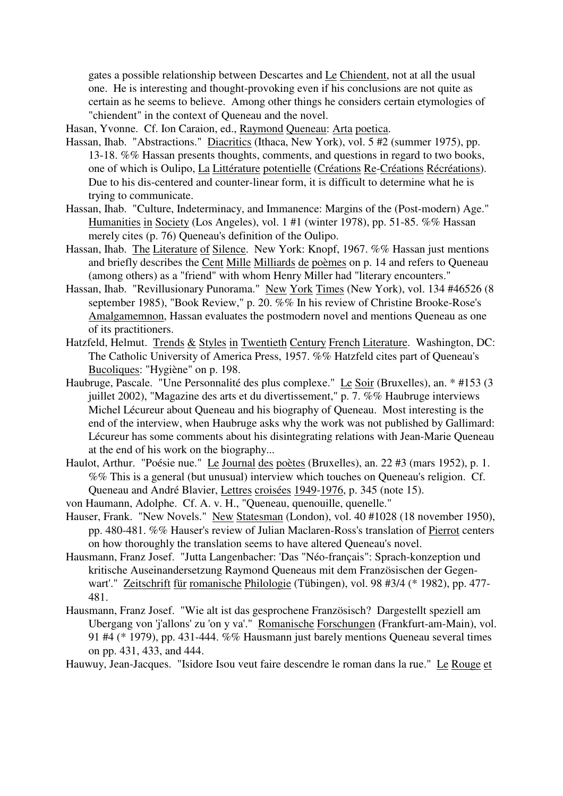gates a possible relationship between Descartes and Le Chiendent, not at all the usual one. He is interesting and thought-provoking even if his conclusions are not quite as certain as he seems to believe. Among other things he considers certain etymologies of "chiendent" in the context of Queneau and the novel.

Hasan, Yvonne. Cf. Ion Caraion, ed., Raymond Queneau: Arta poetica.

- Hassan, Ihab. "Abstractions." Diacritics (Ithaca, New York), vol. 5 #2 (summer 1975), pp. 13-18. %% Hassan presents thoughts, comments, and questions in regard to two books, one of which is Oulipo, La Littérature potentielle (Créations Re-Créations Récréations). Due to his dis-centered and counter-linear form, it is difficult to determine what he is trying to communicate.
- Hassan, Ihab. "Culture, Indeterminacy, and Immanence: Margins of the (Post-modern) Age." Humanities in Society (Los Angeles), vol. 1 #1 (winter 1978), pp. 51-85. %% Hassan merely cites (p. 76) Queneau's definition of the Oulipo.
- Hassan, Ihab. The Literature of Silence. New York: Knopf, 1967. %% Hassan just mentions and briefly describes the Cent Mille Milliards de poèmes on p. 14 and refers to Queneau (among others) as a "friend" with whom Henry Miller had "literary encounters."
- Hassan, Ihab. "Revillusionary Punorama." New York Times (New York), vol. 134 #46526 (8 september 1985), "Book Review," p. 20. %% In his review of Christine Brooke-Rose's Amalgamemnon, Hassan evaluates the postmodern novel and mentions Queneau as one of its practitioners.
- Hatzfeld, Helmut. Trends & Styles in Twentieth Century French Literature. Washington, DC: The Catholic University of America Press, 1957. %% Hatzfeld cites part of Queneau's Bucoliques: "Hygiène" on p. 198.
- Haubruge, Pascale. "Une Personnalité des plus complexe." Le Soir (Bruxelles), an. \* #153 (3 juillet 2002), "Magazine des arts et du divertissement," p. 7. %% Haubruge interviews Michel Lécureur about Queneau and his biography of Queneau. Most interesting is the end of the interview, when Haubruge asks why the work was not published by Gallimard: Lécureur has some comments about his disintegrating relations with Jean-Marie Queneau at the end of his work on the biography...
- Haulot, Arthur. "Poésie nue." Le Journal des poètes (Bruxelles), an. 22 #3 (mars 1952), p. 1. %% This is a general (but unusual) interview which touches on Queneau's religion. Cf. Queneau and André Blavier, Lettres croisées 1949-1976, p. 345 (note 15).
- von Haumann, Adolphe. Cf. A. v. H., "Queneau, quenouille, quenelle."
- Hauser, Frank. "New Novels." New Statesman (London), vol. 40 #1028 (18 november 1950), pp. 480-481. %% Hauser's review of Julian Maclaren-Ross's translation of Pierrot centers on how thoroughly the translation seems to have altered Queneau's novel.
- Hausmann, Franz Josef. "Jutta Langenbacher: 'Das "Néo-français": Sprach-konzeption und kritische Auseinandersetzung Raymond Queneaus mit dem Französischen der Gegenwart'." Zeitschrift für romanische Philologie (Tübingen), vol. 98 #3/4 (\* 1982), pp. 477- 481.
- Hausmann, Franz Josef. "Wie alt ist das gesprochene Französisch? Dargestellt speziell am Ubergang von 'j'allons' zu 'on y va'." Romanische Forschungen (Frankfurt-am-Main), vol. 91 #4 (\* 1979), pp. 431-444. %% Hausmann just barely mentions Queneau several times on pp. 431, 433, and 444.

Hauwuy, Jean-Jacques. "Isidore Isou veut faire descendre le roman dans la rue." Le Rouge et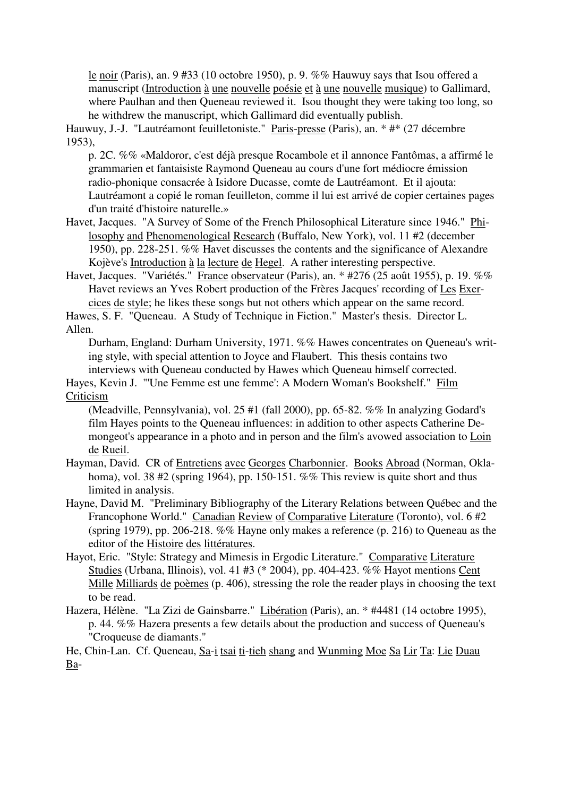le noir (Paris), an. 9 #33 (10 octobre 1950), p. 9. %% Hauwuy says that Isou offered a manuscript (Introduction à une nouvelle poésie et à une nouvelle musique) to Gallimard, where Paulhan and then Queneau reviewed it. Isou thought they were taking too long, so he withdrew the manuscript, which Gallimard did eventually publish.

Hauwuy, J.-J. "Lautréamont feuilletoniste." Paris-presse (Paris), an. \* #\* (27 décembre 1953),

p. 2C. %% «Maldoror, c'est déjà presque Rocambole et il annonce Fantômas, a affirmé le grammarien et fantaisiste Raymond Queneau au cours d'une fort médiocre émission radio-phonique consacrée à Isidore Ducasse, comte de Lautréamont. Et il ajouta: Lautréamont a copié le roman feuilleton, comme il lui est arrivé de copier certaines pages d'un traité d'histoire naturelle.»

Havet, Jacques. "A Survey of Some of the French Philosophical Literature since 1946." Philosophy and Phenomenological Research (Buffalo, New York), vol. 11 #2 (december 1950), pp. 228-251. %% Havet discusses the contents and the significance of Alexandre Kojève's Introduction à la lecture de Hegel. A rather interesting perspective.

Havet, Jacques. "Variétés." France observateur (Paris), an. \* #276 (25 août 1955), p. 19. %% Havet reviews an Yves Robert production of the Frères Jacques' recording of Les Exercices de style; he likes these songs but not others which appear on the same record.

Hawes, S. F. "Queneau. A Study of Technique in Fiction." Master's thesis. Director L. Allen.

Durham, England: Durham University, 1971. %% Hawes concentrates on Queneau's writing style, with special attention to Joyce and Flaubert. This thesis contains two interviews with Queneau conducted by Hawes which Queneau himself corrected.

Hayes, Kevin J. "'Une Femme est une femme': A Modern Woman's Bookshelf." Film Criticism

(Meadville, Pennsylvania), vol. 25 #1 (fall 2000), pp. 65-82. %% In analyzing Godard's film Hayes points to the Queneau influences: in addition to other aspects Catherine Demongeot's appearance in a photo and in person and the film's avowed association to Loin de Rueil.

Hayman, David. CR of Entretiens avec Georges Charbonnier. Books Abroad (Norman, Oklahoma), vol. 38 #2 (spring 1964), pp. 150-151. %% This review is quite short and thus limited in analysis.

- Hayne, David M. "Preliminary Bibliography of the Literary Relations between Québec and the Francophone World." Canadian Review of Comparative Literature (Toronto), vol. 6 #2 (spring 1979), pp. 206-218. %% Hayne only makes a reference (p. 216) to Queneau as the editor of the Histoire des littératures.
- Hayot, Eric. "Style: Strategy and Mimesis in Ergodic Literature." Comparative Literature Studies (Urbana, Illinois), vol. 41 #3 (\* 2004), pp. 404-423. %% Hayot mentions Cent Mille Milliards de poèmes (p. 406), stressing the role the reader plays in choosing the text to be read.
- Hazera, Hélène. "La Zizi de Gainsbarre." Libération (Paris), an. \* #4481 (14 octobre 1995), p. 44. %% Hazera presents a few details about the production and success of Queneau's "Croqueuse de diamants."

He, Chin-Lan. Cf. Queneau, Sa-i tsai ti-tieh shang and Wunming Moe Sa Lir Ta: Lie Duau Ba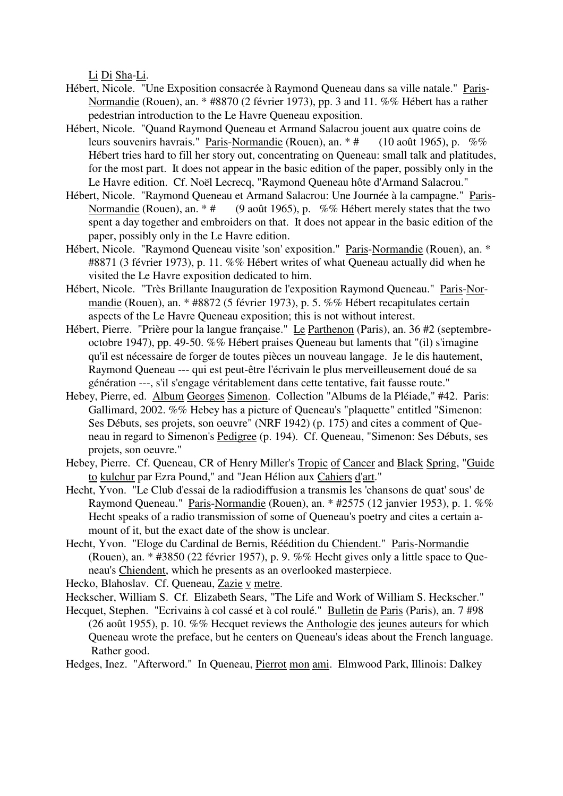Li Di Sha-Li.

- Hébert, Nicole. "Une Exposition consacrée à Raymond Queneau dans sa ville natale." Paris-Normandie (Rouen), an. \* #8870 (2 février 1973), pp. 3 and 11. %% Hébert has a rather pedestrian introduction to the Le Havre Queneau exposition.
- Hébert, Nicole. "Quand Raymond Queneau et Armand Salacrou jouent aux quatre coins de leurs souvenirs havrais." Paris-Normandie (Rouen), an.  $*$  # (10 août 1965), p. %% Hébert tries hard to fill her story out, concentrating on Queneau: small talk and platitudes, for the most part. It does not appear in the basic edition of the paper, possibly only in the Le Havre edition. Cf. Noël Lecrecq, "Raymond Queneau hôte d'Armand Salacrou."
- Hébert, Nicole. "Raymond Queneau et Armand Salacrou: Une Journée à la campagne." Paris-Normandie (Rouen), an.  $*$  # (9 août 1965), p. %% Hébert merely states that the two spent a day together and embroiders on that. It does not appear in the basic edition of the paper, possibly only in the Le Havre edition.
- Hébert, Nicole. "Raymond Queneau visite 'son' exposition." Paris-Normandie (Rouen), an. \* #8871 (3 février 1973), p. 11. %% Hébert writes of what Queneau actually did when he visited the Le Havre exposition dedicated to him.
- Hébert, Nicole. "Très Brillante Inauguration de l'exposition Raymond Queneau." Paris-Normandie (Rouen), an. \* #8872 (5 février 1973), p. 5. %% Hébert recapitulates certain aspects of the Le Havre Queneau exposition; this is not without interest.
- Hébert, Pierre. "Prière pour la langue française." Le Parthenon (Paris), an. 36 #2 (septembreoctobre 1947), pp. 49-50. %% Hébert praises Queneau but laments that "(il) s'imagine qu'il est nécessaire de forger de toutes pièces un nouveau langage. Je le dis hautement, Raymond Queneau --- qui est peut-être l'écrivain le plus merveilleusement doué de sa génération ---, s'il s'engage véritablement dans cette tentative, fait fausse route."
- Hebey, Pierre, ed. Album Georges Simenon. Collection "Albums de la Pléiade," #42. Paris: Gallimard, 2002. %% Hebey has a picture of Queneau's "plaquette" entitled "Simenon: Ses Débuts, ses projets, son oeuvre" (NRF 1942) (p. 175) and cites a comment of Queneau in regard to Simenon's Pedigree (p. 194). Cf. Queneau, "Simenon: Ses Débuts, ses projets, son oeuvre."
- Hebey, Pierre. Cf. Queneau, CR of Henry Miller's Tropic of Cancer and Black Spring, "Guide to kulchur par Ezra Pound," and "Jean Hélion aux Cahiers d'art."
- Hecht, Yvon. "Le Club d'essai de la radiodiffusion a transmis les 'chansons de quat' sous' de Raymond Queneau." Paris-Normandie (Rouen), an. \* #2575 (12 janvier 1953), p. 1. %% Hecht speaks of a radio transmission of some of Queneau's poetry and cites a certain amount of it, but the exact date of the show is unclear.
- Hecht, Yvon. "Eloge du Cardinal de Bernis, Réédition du Chiendent." Paris-Normandie (Rouen), an. \* #3850 (22 février 1957), p. 9. %% Hecht gives only a little space to Queneau's Chiendent, which he presents as an overlooked masterpiece.

Hecko, Blahoslav. Cf. Queneau, Zazie v metre.

- Heckscher, William S. Cf. Elizabeth Sears, "The Life and Work of William S. Heckscher."
- Hecquet, Stephen. "Ecrivains à col cassé et à col roulé." Bulletin de Paris (Paris), an. 7 #98 (26 août 1955), p. 10. %% Hecquet reviews the Anthologie des jeunes auteurs for which Queneau wrote the preface, but he centers on Queneau's ideas about the French language. Rather good.
- Hedges, Inez. "Afterword." In Queneau, Pierrot mon ami. Elmwood Park, Illinois: Dalkey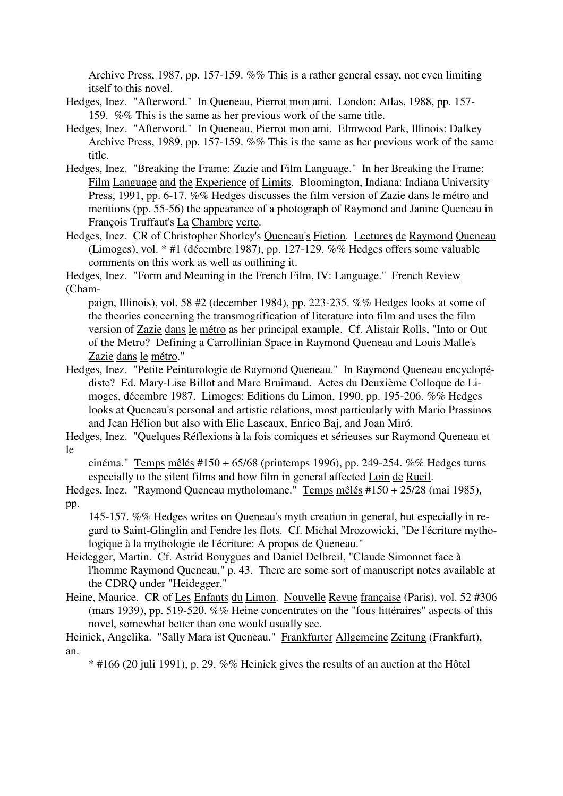Archive Press, 1987, pp. 157-159. %% This is a rather general essay, not even limiting itself to this novel.

- Hedges, Inez. "Afterword." In Queneau, Pierrot mon ami. London: Atlas, 1988, pp. 157- 159. %% This is the same as her previous work of the same title.
- Hedges, Inez. "Afterword." In Queneau, Pierrot mon ami. Elmwood Park, Illinois: Dalkey Archive Press, 1989, pp. 157-159. %% This is the same as her previous work of the same title.
- Hedges, Inez. "Breaking the Frame: Zazie and Film Language." In her Breaking the Frame: Film Language and the Experience of Limits. Bloomington, Indiana: Indiana University Press, 1991, pp. 6-17. %% Hedges discusses the film version of Zazie dans le métro and mentions (pp. 55-56) the appearance of a photograph of Raymond and Janine Queneau in François Truffaut's La Chambre verte.
- Hedges, Inez. CR of Christopher Shorley's Queneau's Fiction. Lectures de Raymond Queneau (Limoges), vol. \* #1 (décembre 1987), pp. 127-129. %% Hedges offers some valuable comments on this work as well as outlining it.

Hedges, Inez. "Form and Meaning in the French Film, IV: Language." French Review (Cham-

paign, Illinois), vol. 58 #2 (december 1984), pp. 223-235. %% Hedges looks at some of the theories concerning the transmogrification of literature into film and uses the film version of Zazie dans le métro as her principal example. Cf. Alistair Rolls, "Into or Out of the Metro? Defining a Carrollinian Space in Raymond Queneau and Louis Malle's Zazie dans le métro."

Hedges, Inez. "Petite Peinturologie de Raymond Queneau." In Raymond Queneau encyclopédiste? Ed. Mary-Lise Billot and Marc Bruimaud. Actes du Deuxième Colloque de Limoges, décembre 1987. Limoges: Editions du Limon, 1990, pp. 195-206. %% Hedges looks at Queneau's personal and artistic relations, most particularly with Mario Prassinos and Jean Hélion but also with Elie Lascaux, Enrico Baj, and Joan Miró.

Hedges, Inez. "Quelques Réflexions à la fois comiques et sérieuses sur Raymond Queneau et le

cinéma." Temps mêlés #150 + 65/68 (printemps 1996), pp. 249-254. %% Hedges turns especially to the silent films and how film in general affected Loin de Rueil.

Hedges, Inez. "Raymond Queneau mytholomane." Temps mêlés #150 + 25/28 (mai 1985), pp.

145-157. %% Hedges writes on Queneau's myth creation in general, but especially in regard to Saint-Glinglin and Fendre les flots. Cf. Michal Mrozowicki, "De l'écriture mythologique à la mythologie de l'écriture: A propos de Queneau."

- Heidegger, Martin. Cf. Astrid Bouygues and Daniel Delbreil, "Claude Simonnet face à l'homme Raymond Queneau," p. 43. There are some sort of manuscript notes available at the CDRQ under "Heidegger."
- Heine, Maurice. CR of Les Enfants du Limon. Nouvelle Revue française (Paris), vol. 52 #306 (mars 1939), pp. 519-520. %% Heine concentrates on the "fous littéraires" aspects of this novel, somewhat better than one would usually see.

\* #166 (20 juli 1991), p. 29. %% Heinick gives the results of an auction at the Hôtel

Heinick, Angelika. "Sally Mara ist Queneau." Frankfurter Allgemeine Zeitung (Frankfurt), an.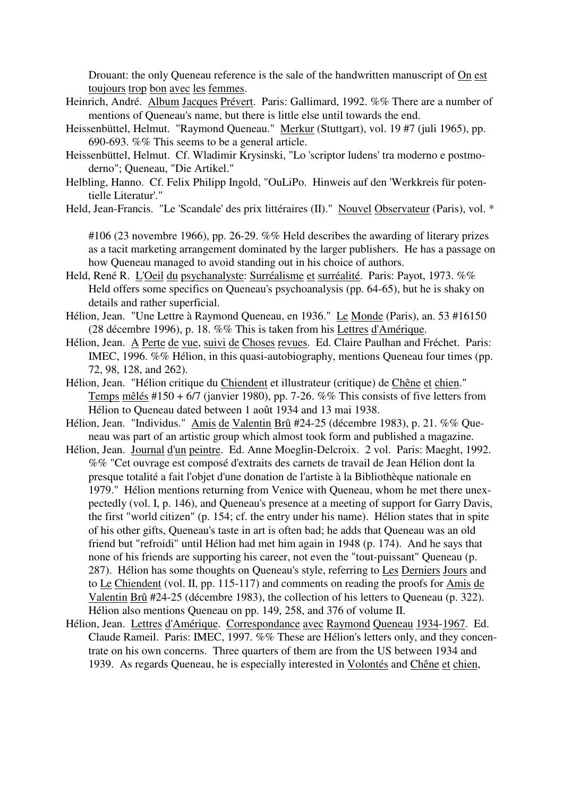Drouant: the only Queneau reference is the sale of the handwritten manuscript of On est toujours trop bon avec les femmes.

- Heinrich, André. Album Jacques Prévert. Paris: Gallimard, 1992. %% There are a number of mentions of Queneau's name, but there is little else until towards the end.
- Heissenbüttel, Helmut. "Raymond Queneau." Merkur (Stuttgart), vol. 19 #7 (juli 1965), pp. 690-693. %% This seems to be a general article.
- Heissenbüttel, Helmut. Cf. Wladimir Krysinski, "Lo 'scriptor ludens' tra moderno e postmoderno"; Queneau, "Die Artikel."
- Helbling, Hanno. Cf. Felix Philipp Ingold, "OuLiPo. Hinweis auf den 'Werkkreis für potentielle Literatur'."
- Held, Jean-Francis. "Le 'Scandale' des prix littéraires (II)." Nouvel Observateur (Paris), vol. \*

#106 (23 novembre 1966), pp. 26-29. %% Held describes the awarding of literary prizes as a tacit marketing arrangement dominated by the larger publishers. He has a passage on how Queneau managed to avoid standing out in his choice of authors.

- Held, René R. L'Oeil du psychanalyste: Surréalisme et surréalité. Paris: Payot, 1973. %% Held offers some specifics on Queneau's psychoanalysis (pp. 64-65), but he is shaky on details and rather superficial.
- Hélion, Jean. "Une Lettre à Raymond Queneau, en 1936." Le Monde (Paris), an. 53 #16150 (28 décembre 1996), p. 18. %% This is taken from his Lettres d'Amérique.
- Hélion, Jean. A Perte de vue, suivi de Choses revues. Ed. Claire Paulhan and Fréchet. Paris: IMEC, 1996. %% Hélion, in this quasi-autobiography, mentions Queneau four times (pp. 72, 98, 128, and 262).
- Hélion, Jean. "Hélion critique du Chiendent et illustrateur (critique) de Chêne et chien." Temps mêlés #150 + 6/7 (janvier 1980), pp. 7-26. %% This consists of five letters from Hélion to Queneau dated between 1 août 1934 and 13 mai 1938.
- Hélion, Jean. "Individus." Amis de Valentin Brû #24-25 (décembre 1983), p. 21. %% Queneau was part of an artistic group which almost took form and published a magazine.
- Hélion, Jean. Journal d'un peintre. Ed. Anne Moeglin-Delcroix. 2 vol. Paris: Maeght, 1992. %% "Cet ouvrage est composé d'extraits des carnets de travail de Jean Hélion dont la presque totalité a fait l'objet d'une donation de l'artiste à la Bibliothèque nationale en 1979." Hélion mentions returning from Venice with Queneau, whom he met there unexpectedly (vol. I, p. 146), and Queneau's presence at a meeting of support for Garry Davis, the first "world citizen" (p. 154; cf. the entry under his name). Hélion states that in spite of his other gifts, Queneau's taste in art is often bad; he adds that Queneau was an old friend but "refroidi" until Hélion had met him again in 1948 (p. 174). And he says that none of his friends are supporting his career, not even the "tout-puissant" Queneau (p. 287). Hélion has some thoughts on Queneau's style, referring to Les Derniers Jours and to Le Chiendent (vol. II, pp. 115-117) and comments on reading the proofs for Amis de Valentin Brû #24-25 (décembre 1983), the collection of his letters to Queneau (p. 322). Hélion also mentions Queneau on pp. 149, 258, and 376 of volume II.
- Hélion, Jean. Lettres d'Amérique. Correspondance avec Raymond Queneau 1934-1967. Ed. Claude Rameil. Paris: IMEC, 1997. %% These are Hélion's letters only, and they concentrate on his own concerns. Three quarters of them are from the US between 1934 and 1939. As regards Queneau, he is especially interested in Volontés and Chêne et chien,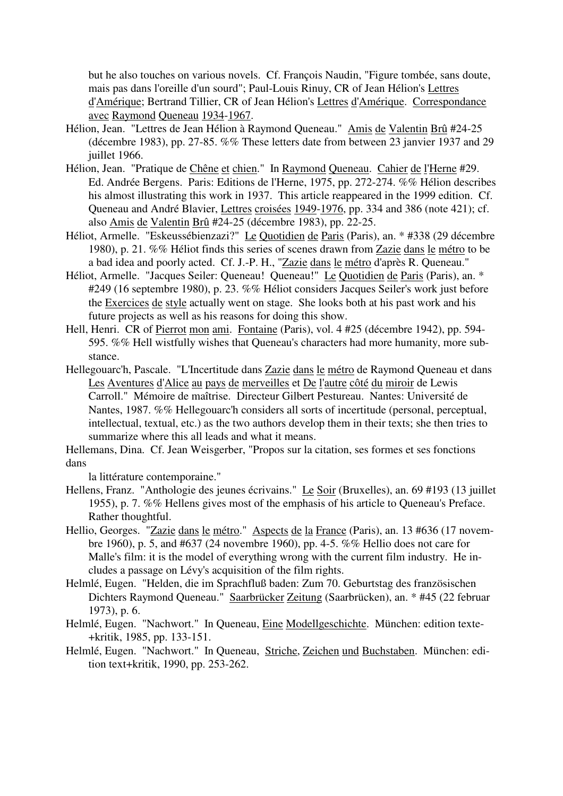but he also touches on various novels. Cf. François Naudin, "Figure tombée, sans doute, mais pas dans l'oreille d'un sourd"; Paul-Louis Rinuy, CR of Jean Hélion's Lettres d'Amérique; Bertrand Tillier, CR of Jean Hélion's Lettres d'Amérique. Correspondance avec Raymond Queneau 1934-1967.

- Hélion, Jean. "Lettres de Jean Hélion à Raymond Queneau." Amis de Valentin Brû #24-25 (décembre 1983), pp. 27-85. %% These letters date from between 23 janvier 1937 and 29 juillet 1966.
- Hélion, Jean. "Pratique de Chêne et chien." In Raymond Queneau. Cahier de l'Herne #29. Ed. Andrée Bergens. Paris: Editions de l'Herne, 1975, pp. 272-274. %% Hélion describes his almost illustrating this work in 1937. This article reappeared in the 1999 edition. Cf. Queneau and André Blavier, Lettres croisées 1949-1976, pp. 334 and 386 (note 421); cf. also Amis de Valentin Brû #24-25 (décembre 1983), pp. 22-25.
- Héliot, Armelle. "Eskeussébienzazi?" Le Quotidien de Paris (Paris), an. \* #338 (29 décembre 1980), p. 21. %% Héliot finds this series of scenes drawn from Zazie dans le métro to be a bad idea and poorly acted. Cf. J.-P. H., "Zazie dans le métro d'après R. Queneau."
- Héliot, Armelle. "Jacques Seiler: Queneau! Queneau!" Le Quotidien de Paris (Paris), an. \* #249 (16 septembre 1980), p. 23. %% Héliot considers Jacques Seiler's work just before the Exercices de style actually went on stage. She looks both at his past work and his future projects as well as his reasons for doing this show.
- Hell, Henri. CR of Pierrot mon ami. Fontaine (Paris), vol. 4 #25 (décembre 1942), pp. 594- 595. %% Hell wistfully wishes that Queneau's characters had more humanity, more substance.
- Hellegouarc'h, Pascale. "L'Incertitude dans Zazie dans le métro de Raymond Queneau et dans Les Aventures d'Alice au pays de merveilles et De l'autre côté du miroir de Lewis Carroll." Mémoire de maîtrise. Directeur Gilbert Pestureau. Nantes: Université de Nantes, 1987. %% Hellegouarc'h considers all sorts of incertitude (personal, perceptual, intellectual, textual, etc.) as the two authors develop them in their texts; she then tries to summarize where this all leads and what it means.

Hellemans, Dina. Cf. Jean Weisgerber, "Propos sur la citation, ses formes et ses fonctions dans

la littérature contemporaine."

- Hellens, Franz. "Anthologie des jeunes écrivains." Le Soir (Bruxelles), an. 69 #193 (13 juillet 1955), p. 7. %% Hellens gives most of the emphasis of his article to Queneau's Preface. Rather thoughtful.
- Hellio, Georges. "Zazie dans le métro." Aspects de la France (Paris), an. 13 #636 (17 novembre 1960), p. 5, and #637 (24 novembre 1960), pp. 4-5. %% Hellio does not care for Malle's film: it is the model of everything wrong with the current film industry. He includes a passage on Lévy's acquisition of the film rights.
- Helmlé, Eugen. "Helden, die im Sprachfluß baden: Zum 70. Geburtstag des französischen Dichters Raymond Queneau." Saarbrücker Zeitung (Saarbrücken), an. \* #45 (22 februar 1973), p. 6.
- Helmlé, Eugen. "Nachwort." In Queneau, Eine Modellgeschichte. München: edition texte- +kritik, 1985, pp. 133-151.
- Helmlé, Eugen. "Nachwort." In Queneau, Striche, Zeichen und Buchstaben. München: edition text+kritik, 1990, pp. 253-262.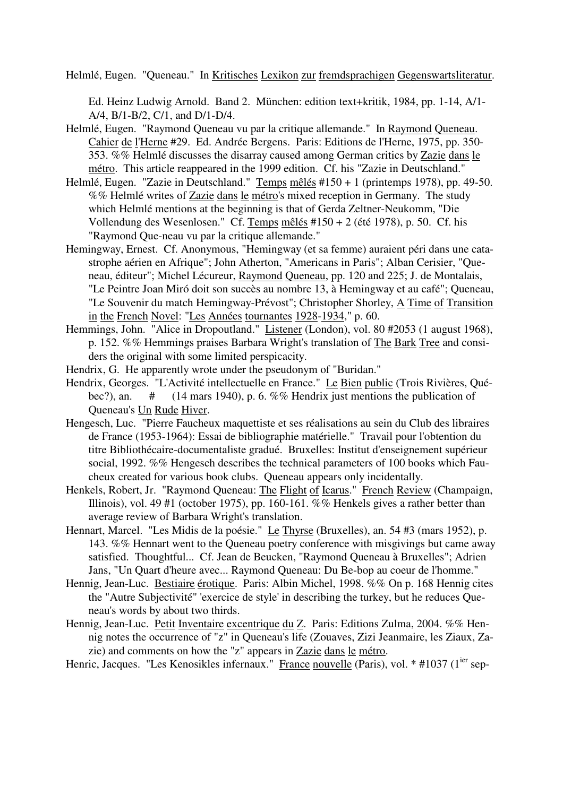Helmlé, Eugen. "Queneau." In Kritisches Lexikon zur fremdsprachigen Gegenswartsliteratur.

Ed. Heinz Ludwig Arnold. Band 2. München: edition text+kritik, 1984, pp. 1-14, A/1- A/4, B/1-B/2, C/1, and D/1-D/4.

- Helmlé, Eugen. "Raymond Queneau vu par la critique allemande." In Raymond Queneau. Cahier de l'Herne #29. Ed. Andrée Bergens. Paris: Editions de l'Herne, 1975, pp. 350- 353. %% Helmlé discusses the disarray caused among German critics by Zazie dans le métro. This article reappeared in the 1999 edition. Cf. his "Zazie in Deutschland."
- Helmlé, Eugen. "Zazie in Deutschland." Temps mêlés #150 + 1 (printemps 1978), pp. 49-50. %% Helmlé writes of Zazie dans le métro's mixed reception in Germany. The study which Helmlé mentions at the beginning is that of Gerda Zeltner-Neukomm, "Die Vollendung des Wesenlosen." Cf. Temps mêlés #150 + 2 (été 1978), p. 50. Cf. his "Raymond Que-neau vu par la critique allemande."
- Hemingway, Ernest. Cf. Anonymous, "Hemingway (et sa femme) auraient péri dans une catastrophe aérien en Afrique"; John Atherton, "Americans in Paris"; Alban Cerisier, "Queneau, éditeur"; Michel Lécureur, Raymond Queneau, pp. 120 and 225; J. de Montalais, "Le Peintre Joan Miró doit son succès au nombre 13, à Hemingway et au café"; Queneau, "Le Souvenir du match Hemingway-Prévost"; Christopher Shorley, A Time of Transition in the French Novel: "Les Années tournantes 1928-1934," p. 60.
- Hemmings, John. "Alice in Dropoutland." Listener (London), vol. 80 #2053 (1 august 1968), p. 152. %% Hemmings praises Barbara Wright's translation of The Bark Tree and considers the original with some limited perspicacity.
- Hendrix, G. He apparently wrote under the pseudonym of "Buridan."
- Hendrix, Georges. "L'Activité intellectuelle en France." Le Bien public (Trois Rivières, Québec?), an.  $\#$  (14 mars 1940), p. 6. %% Hendrix just mentions the publication of Queneau's Un Rude Hiver.
- Hengesch, Luc. "Pierre Faucheux maquettiste et ses réalisations au sein du Club des libraires de France (1953-1964): Essai de bibliographie matérielle." Travail pour l'obtention du titre Bibliothécaire-documentaliste gradué. Bruxelles: Institut d'enseignement supérieur social, 1992. %% Hengesch describes the technical parameters of 100 books which Faucheux created for various book clubs. Queneau appears only incidentally.
- Henkels, Robert, Jr. "Raymond Queneau: The Flight of Icarus." French Review (Champaign, Illinois), vol. 49 #1 (october 1975), pp. 160-161. %% Henkels gives a rather better than average review of Barbara Wright's translation.
- Hennart, Marcel. "Les Midis de la poésie." Le Thyrse (Bruxelles), an. 54 #3 (mars 1952), p. 143. %% Hennart went to the Queneau poetry conference with misgivings but came away satisfied. Thoughtful... Cf. Jean de Beucken, "Raymond Queneau à Bruxelles"; Adrien Jans, "Un Quart d'heure avec... Raymond Queneau: Du Be-bop au coeur de l'homme."
- Hennig, Jean-Luc. Bestiaire érotique. Paris: Albin Michel, 1998. %% On p. 168 Hennig cites the "Autre Subjectivité" 'exercice de style' in describing the turkey, but he reduces Queneau's words by about two thirds.
- Hennig, Jean-Luc. Petit Inventaire excentrique du Z. Paris: Editions Zulma, 2004. %% Hennig notes the occurrence of "z" in Queneau's life (Zouaves, Zizi Jeanmaire, les Ziaux, Zazie) and comments on how the "z" appears in Zazie dans le métro.
- Henric, Jacques. "Les Kenosikles infernaux." France nouvelle (Paris), vol. \* #1037 (1<sup>ier</sup> sep-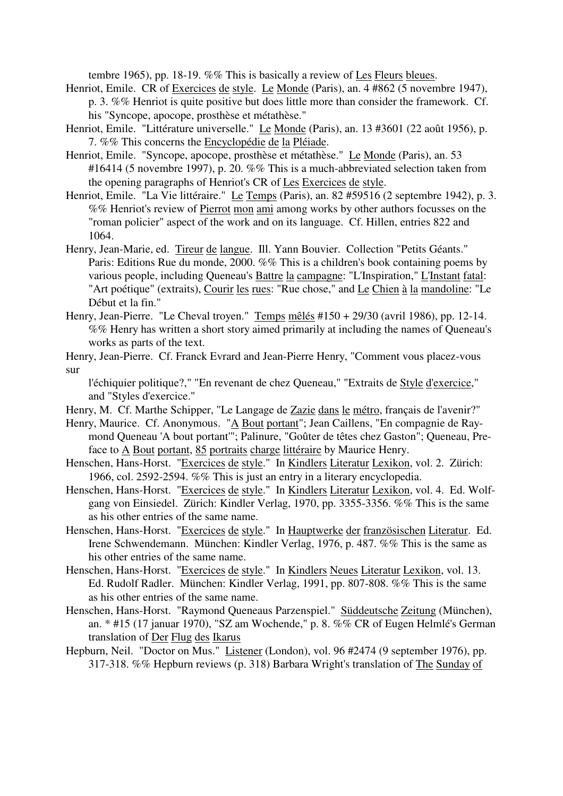tembre 1965), pp. 18-19. %% This is basically a review of Les Fleurs bleues.

- Henriot, Emile. CR of Exercices de style. Le Monde (Paris), an. 4 #862 (5 novembre 1947), p. 3. %% Henriot is quite positive but does little more than consider the framework. Cf. his "Syncope, apocope, prosthèse et métathèse."
- Henriot, Emile. "Littérature universelle." Le Monde (Paris), an. 13 #3601 (22 août 1956), p. 7. %% This concerns the Encyclopédie de la Pléiade.
- Henriot, Emile. "Syncope, apocope, prosthèse et métathèse." Le Monde (Paris), an. 53 #16414 (5 novembre 1997), p. 20. %% This is a much-abbreviated selection taken from the opening paragraphs of Henriot's CR of Les Exercices de style.
- Henriot, Emile. "La Vie littéraire." Le Temps (Paris), an. 82 #59516 (2 septembre 1942), p. 3. %% Henriot's review of Pierrot mon ami among works by other authors focusses on the "roman policier" aspect of the work and on its language. Cf. Hillen, entries 822 and 1064.
- Henry, Jean-Marie, ed. Tireur de langue. Ill. Yann Bouvier. Collection "Petits Géants." Paris: Editions Rue du monde, 2000. %% This is a children's book containing poems by various people, including Queneau's Battre la campagne: "L'Inspiration," L'Instant fatal: "Art poétique" (extraits), Courir les rues: "Rue chose," and Le Chien à la mandoline: "Le Début et la fin."
- Henry, Jean-Pierre. "Le Cheval troyen." Temps mêlés #150 + 29/30 (avril 1986), pp. 12-14. %% Henry has written a short story aimed primarily at including the names of Queneau's works as parts of the text.
- Henry, Jean-Pierre. Cf. Franck Evrard and Jean-Pierre Henry, "Comment vous placez-vous sur

l'échiquier politique?," "En revenant de chez Queneau," "Extraits de Style d'exercice," and "Styles d'exercice."

- Henry, M. Cf. Marthe Schipper, "Le Langage de Zazie dans le métro, français de l'avenir?"
- Henry, Maurice. Cf. Anonymous. "A Bout portant"; Jean Caillens, "En compagnie de Raymond Queneau 'A bout portant'"; Palinure, "Goûter de têtes chez Gaston"; Queneau, Preface to A Bout portant, 85 portraits charge littéraire by Maurice Henry.
- Henschen, Hans-Horst. "Exercices de style." In Kindlers Literatur Lexikon, vol. 2. Zürich: 1966, col. 2592-2594. %% This is just an entry in a literary encyclopedia.
- Henschen, Hans-Horst. "Exercices de style." In Kindlers Literatur Lexikon, vol. 4. Ed. Wolfgang von Einsiedel. Zürich: Kindler Verlag, 1970, pp. 3355-3356. %% This is the same as his other entries of the same name.
- Henschen, Hans-Horst. "Exercices de style." In Hauptwerke der französischen Literatur. Ed. Irene Schwendemann. München: Kindler Verlag, 1976, p. 487. %% This is the same as his other entries of the same name.
- Henschen, Hans-Horst. "Exercices de style." In Kindlers Neues Literatur Lexikon, vol. 13. Ed. Rudolf Radler. München: Kindler Verlag, 1991, pp. 807-808. %% This is the same as his other entries of the same name.
- Henschen, Hans-Horst. "Raymond Queneaus Parzenspiel." Süddeutsche Zeitung (München), an. \* #15 (17 januar 1970), "SZ am Wochende," p. 8. %% CR of Eugen Helmlé's German translation of Der Flug des Ikarus
- Hepburn, Neil. "Doctor on Mus." Listener (London), vol. 96 #2474 (9 september 1976), pp. 317-318. %% Hepburn reviews (p. 318) Barbara Wright's translation of The Sunday of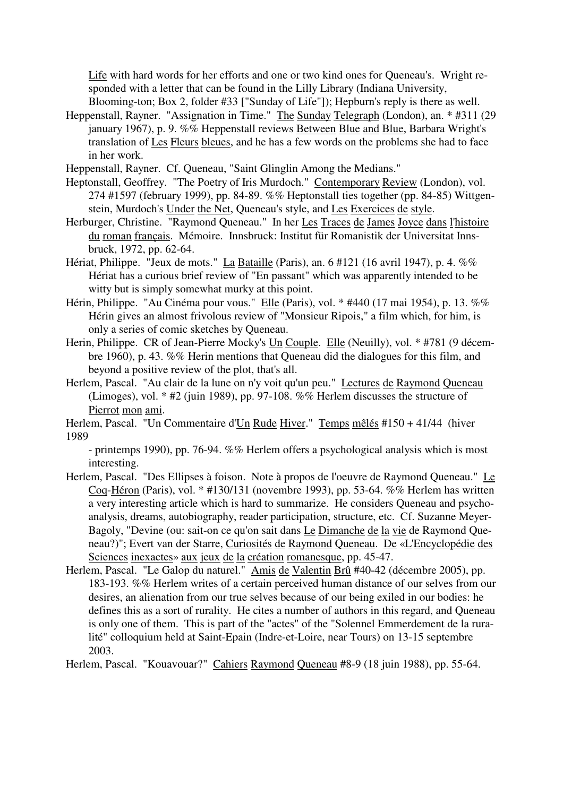Life with hard words for her efforts and one or two kind ones for Queneau's. Wright responded with a letter that can be found in the Lilly Library (Indiana University, Blooming-ton; Box 2, folder #33 ["Sunday of Life"]); Hepburn's reply is there as well.

- Heppenstall, Rayner. "Assignation in Time." The Sunday Telegraph (London), an. \* #311 (29 january 1967), p. 9. %% Heppenstall reviews Between Blue and Blue, Barbara Wright's translation of Les Fleurs bleues, and he has a few words on the problems she had to face in her work.
- Heppenstall, Rayner. Cf. Queneau, "Saint Glinglin Among the Medians."
- Heptonstall, Geoffrey. "The Poetry of Iris Murdoch." Contemporary Review (London), vol. 274 #1597 (february 1999), pp. 84-89. %% Heptonstall ties together (pp. 84-85) Wittgenstein, Murdoch's Under the Net, Queneau's style, and Les Exercices de style.
- Herburger, Christine. "Raymond Queneau." In her Les Traces de James Joyce dans l'histoire du roman français. Mémoire. Innsbruck: Institut für Romanistik der Universitat Innsbruck, 1972, pp. 62-64.
- Hériat, Philippe. "Jeux de mots." La Bataille (Paris), an. 6 #121 (16 avril 1947), p. 4. %% Hériat has a curious brief review of "En passant" which was apparently intended to be witty but is simply somewhat murky at this point.
- Hérin, Philippe. "Au Cinéma pour vous." Elle (Paris), vol. \* #440 (17 mai 1954), p. 13. %% Hérin gives an almost frivolous review of "Monsieur Ripois," a film which, for him, is only a series of comic sketches by Queneau.
- Herin, Philippe. CR of Jean-Pierre Mocky's Un Couple. Elle (Neuilly), vol. \* #781 (9 décembre 1960), p. 43. %% Herin mentions that Queneau did the dialogues for this film, and beyond a positive review of the plot, that's all.
- Herlem, Pascal. "Au clair de la lune on n'y voit qu'un peu." Lectures de Raymond Queneau (Limoges), vol. \* #2 (juin 1989), pp. 97-108. %% Herlem discusses the structure of Pierrot mon ami.
- Herlem, Pascal. "Un Commentaire d'Un Rude Hiver." Temps mêlés #150 + 41/44 (hiver 1989

- printemps 1990), pp. 76-94. %% Herlem offers a psychological analysis which is most interesting.

- Herlem, Pascal. "Des Ellipses à foison. Note à propos de l'oeuvre de Raymond Queneau." Le Coq-Héron (Paris), vol. \* #130/131 (novembre 1993), pp. 53-64. %% Herlem has written a very interesting article which is hard to summarize. He considers Queneau and psychoanalysis, dreams, autobiography, reader participation, structure, etc. Cf. Suzanne Meyer-Bagoly, "Devine (ou: sait-on ce qu'on sait dans Le Dimanche de la vie de Raymond Queneau?)"; Evert van der Starre, Curiosités de Raymond Queneau. De «L'Encyclopédie des Sciences inexactes» aux jeux de la création romanesque, pp. 45-47.
- Herlem, Pascal. "Le Galop du naturel." Amis de Valentin Brû #40-42 (décembre 2005), pp. 183-193. %% Herlem writes of a certain perceived human distance of our selves from our desires, an alienation from our true selves because of our being exiled in our bodies: he defines this as a sort of rurality. He cites a number of authors in this regard, and Queneau is only one of them. This is part of the "actes" of the "Solennel Emmerdement de la ruralité" colloquium held at Saint-Epain (Indre-et-Loire, near Tours) on 13-15 septembre 2003.

Herlem, Pascal. "Kouavouar?" Cahiers Raymond Queneau #8-9 (18 juin 1988), pp. 55-64.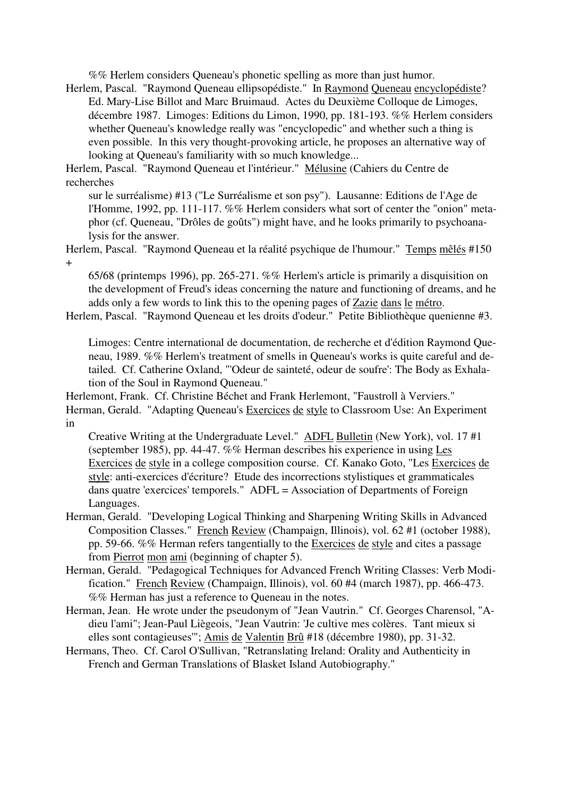%% Herlem considers Queneau's phonetic spelling as more than just humor.

Herlem, Pascal. "Raymond Queneau ellipsopédiste." In Raymond Queneau encyclopédiste? Ed. Mary-Lise Billot and Marc Bruimaud. Actes du Deuxième Colloque de Limoges, décembre 1987. Limoges: Editions du Limon, 1990, pp. 181-193. %% Herlem considers whether Queneau's knowledge really was "encyclopedic" and whether such a thing is even possible. In this very thought-provoking article, he proposes an alternative way of looking at Queneau's familiarity with so much knowledge...

Herlem, Pascal. "Raymond Queneau et l'intérieur." Mélusine (Cahiers du Centre de recherches

sur le surréalisme) #13 ("Le Surréalisme et son psy"). Lausanne: Editions de l'Age de l'Homme, 1992, pp. 111-117. %% Herlem considers what sort of center the "onion" metaphor (cf. Queneau, "Drôles de goûts") might have, and he looks primarily to psychoanalysis for the answer.

Herlem, Pascal. "Raymond Queneau et la réalité psychique de l'humour." Temps mêlés #150 +

65/68 (printemps 1996), pp. 265-271. %% Herlem's article is primarily a disquisition on the development of Freud's ideas concerning the nature and functioning of dreams, and he adds only a few words to link this to the opening pages of Zazie dans le métro.

Herlem, Pascal. "Raymond Queneau et les droits d'odeur." Petite Bibliothèque quenienne #3.

Limoges: Centre international de documentation, de recherche et d'édition Raymond Queneau, 1989. %% Herlem's treatment of smells in Queneau's works is quite careful and detailed. Cf. Catherine Oxland, "'Odeur de sainteté, odeur de soufre': The Body as Exhalation of the Soul in Raymond Queneau."

Herlemont, Frank. Cf. Christine Béchet and Frank Herlemont, "Faustroll à Verviers." Herman, Gerald. "Adapting Queneau's Exercices de style to Classroom Use: An Experiment in

Creative Writing at the Undergraduate Level." ADFL Bulletin (New York), vol. 17 #1 (september 1985), pp. 44-47. %% Herman describes his experience in using Les Exercices de style in a college composition course. Cf. Kanako Goto, "Les Exercices de style: anti-exercices d'écriture? Etude des incorrections stylistiques et grammaticales dans quatre 'exercices' temporels." ADFL = Association of Departments of Foreign Languages.

- Herman, Gerald. "Developing Logical Thinking and Sharpening Writing Skills in Advanced Composition Classes." French Review (Champaign, Illinois), vol. 62 #1 (october 1988), pp. 59-66. %% Herman refers tangentially to the Exercices de style and cites a passage from Pierrot mon ami (beginning of chapter 5).
- Herman, Gerald. "Pedagogical Techniques for Advanced French Writing Classes: Verb Modification." French Review (Champaign, Illinois), vol. 60 #4 (march 1987), pp. 466-473. %% Herman has just a reference to Queneau in the notes.
- Herman, Jean. He wrote under the pseudonym of "Jean Vautrin." Cf. Georges Charensol, "Adieu l'ami"; Jean-Paul Liègeois, "Jean Vautrin: 'Je cultive mes colères. Tant mieux si elles sont contagieuses'"; Amis de Valentin Brû #18 (décembre 1980), pp. 31-32.
- Hermans, Theo. Cf. Carol O'Sullivan, "Retranslating Ireland: Orality and Authenticity in French and German Translations of Blasket Island Autobiography."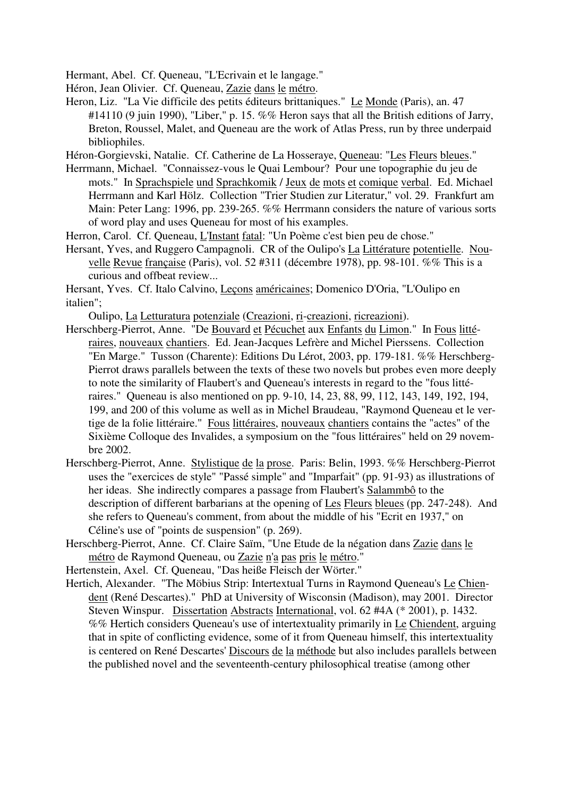Hermant, Abel. Cf. Queneau, "L'Ecrivain et le langage."

Héron, Jean Olivier. Cf. Queneau, Zazie dans le métro.

Heron, Liz. "La Vie difficile des petits éditeurs brittaniques." Le Monde (Paris), an. 47 #14110 (9 juin 1990), "Liber," p. 15. %% Heron says that all the British editions of Jarry, Breton, Roussel, Malet, and Queneau are the work of Atlas Press, run by three underpaid bibliophiles.

Héron-Gorgievski, Natalie. Cf. Catherine de La Hosseraye, Queneau: "Les Fleurs bleues."

Herrmann, Michael. "Connaissez-vous le Quai Lembour? Pour une topographie du jeu de mots." In Sprachspiele und Sprachkomik / Jeux de mots et comique verbal. Ed. Michael Herrmann and Karl Hölz. Collection "Trier Studien zur Literatur," vol. 29. Frankfurt am Main: Peter Lang: 1996, pp. 239-265. %% Herrmann considers the nature of various sorts of word play and uses Queneau for most of his examples.

Herron, Carol. Cf. Queneau, L'Instant fatal: "Un Poème c'est bien peu de chose."

Hersant, Yves, and Ruggero Campagnoli. CR of the Oulipo's La Littérature potentielle. Nouvelle Revue française (Paris), vol. 52 #311 (décembre 1978), pp. 98-101. %% This is a curious and offbeat review...

Hersant, Yves. Cf. Italo Calvino, Leçons américaines; Domenico D'Oria, "L'Oulipo en italien";

Oulipo, La Letturatura potenziale (Creazioni, ri-creazioni, ricreazioni).

- Herschberg-Pierrot, Anne. "De Bouvard et Pécuchet aux Enfants du Limon." In Fous littéraires, nouveaux chantiers. Ed. Jean-Jacques Lefrère and Michel Pierssens. Collection "En Marge." Tusson (Charente): Editions Du Lérot, 2003, pp. 179-181. %% Herschberg-Pierrot draws parallels between the texts of these two novels but probes even more deeply to note the similarity of Flaubert's and Queneau's interests in regard to the "fous littéraires." Queneau is also mentioned on pp. 9-10, 14, 23, 88, 99, 112, 143, 149, 192, 194, 199, and 200 of this volume as well as in Michel Braudeau, "Raymond Queneau et le vertige de la folie littéraire." Fous littéraires, nouveaux chantiers contains the "actes" of the Sixième Colloque des Invalides, a symposium on the "fous littéraires" held on 29 novembre 2002.
- Herschberg-Pierrot, Anne. Stylistique de la prose. Paris: Belin, 1993. %% Herschberg-Pierrot uses the "exercices de style" "Passé simple" and "Imparfait" (pp. 91-93) as illustrations of her ideas. She indirectly compares a passage from Flaubert's Salammbô to the description of different barbarians at the opening of Les Fleurs bleues (pp. 247-248). And she refers to Queneau's comment, from about the middle of his "Ecrit en 1937," on Céline's use of "points de suspension" (p. 269).
- Herschberg-Pierrot, Anne. Cf. Claire Saïm, "Une Etude de la négation dans Zazie dans le métro de Raymond Queneau, ou Zazie n'a pas pris le métro."

Hertenstein, Axel. Cf. Queneau, "Das heiße Fleisch der Wörter."

Hertich, Alexander. "The Möbius Strip: Intertextual Turns in Raymond Queneau's Le Chiendent (René Descartes)." PhD at University of Wisconsin (Madison), may 2001. Director Steven Winspur. Dissertation Abstracts International, vol. 62 #4A (\* 2001), p. 1432. %% Hertich considers Queneau's use of intertextuality primarily in Le Chiendent, arguing that in spite of conflicting evidence, some of it from Queneau himself, this intertextuality is centered on René Descartes' Discours de la méthode but also includes parallels between the published novel and the seventeenth-century philosophical treatise (among other